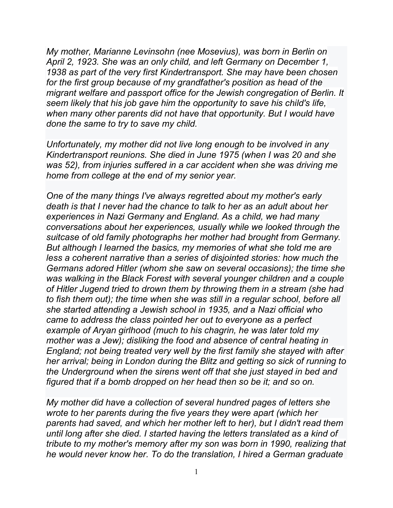My mother, Marianne Levinsohn (nee Mosevius), was born in Berlin on April 2, 1923. She was an only child, and left Germany on December 1, 1938 as part of the very first Kindertransport. She may have been chosen for the first group because of my grandfather's position as head of the migrant welfare and passport office for the Jewish congregation of Berlin. It seem likely that his job gave him the opportunity to save his child's life, when many other parents did not have that opportunity. But I would have done the same to try to save my child.

Unfortunately, my mother did not live long enough to be involved in any Kindertransport reunions. She died in June 1975 (when I was 20 and she was 52), from injuries suffered in a car accident when she was driving me home from college at the end of my senior year.

One of the many things I've always regretted about my mother's early death is that I never had the chance to talk to her as an adult about her experiences in Nazi Germany and England. As a child, we had many conversations about her experiences, usually while we looked through the suitcase of old family photographs her mother had brought from Germany. But although I learned the basics, my memories of what she told me are less a coherent narrative than a series of disjointed stories: how much the Germans adored Hitler (whom she saw on several occasions); the time she was walking in the Black Forest with several younger children and a couple of Hitler Jugend tried to drown them by throwing them in a stream (she had to fish them out); the time when she was still in a regular school, before all she started attending a Jewish school in 1935, and a Nazi official who came to address the class pointed her out to everyone as a perfect example of Aryan girlhood (much to his chagrin, he was later told my mother was a Jew); disliking the food and absence of central heating in England; not being treated very well by the first family she stayed with after her arrival; being in London during the Blitz and getting so sick of running to the Underground when the sirens went off that she just stayed in bed and figured that if a bomb dropped on her head then so be it; and so on.

My mother did have a collection of several hundred pages of letters she wrote to her parents during the five years they were apart (which her parents had saved, and which her mother left to her), but I didn't read them until long after she died. I started having the letters translated as a kind of tribute to my mother's memory after my son was born in 1990, realizing that he would never know her. To do the translation, I hired a German graduate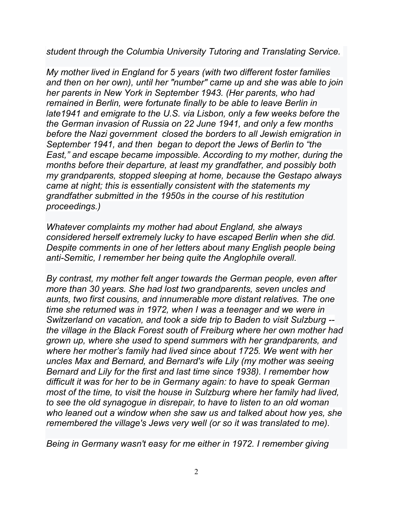student through the Columbia University Tutoring and Translating Service.

My mother lived in England for 5 years (with two different foster families and then on her own), until her "number" came up and she was able to join her parents in New York in September 1943. (Her parents, who had remained in Berlin, were fortunate finally to be able to leave Berlin in late1941 and emigrate to the U.S. via Lisbon, only a few weeks before the the German invasion of Russia on 22 June 1941, and only a few months before the Nazi government closed the borders to all Jewish emigration in September 1941, and then began to deport the Jews of Berlin to "the East," and escape became impossible. According to my mother, during the months before their departure, at least my grandfather, and possibly both my grandparents, stopped sleeping at home, because the Gestapo always came at night; this is essentially consistent with the statements my grandfather submitted in the 1950s in the course of his restitution proceedings.)

Whatever complaints my mother had about England, she always considered herself extremely lucky to have escaped Berlin when she did. Despite comments in one of her letters about many English people being anti-Semitic, I remember her being quite the Anglophile overall.

By contrast, my mother felt anger towards the German people, even after more than 30 years. She had lost two grandparents, seven uncles and aunts, two first cousins, and innumerable more distant relatives. The one time she returned was in 1972, when I was a teenager and we were in Switzerland on vacation, and took a side trip to Baden to visit Sulzburg - the village in the Black Forest south of Freiburg where her own mother had grown up, where she used to spend summers with her grandparents, and where her mother's family had lived since about 1725. We went with her uncles Max and Bernard, and Bernard's wife Lily (my mother was seeing Bernard and Lily for the first and last time since 1938). I remember how difficult it was for her to be in Germany again: to have to speak German most of the time, to visit the house in Sulzburg where her family had lived, to see the old synagogue in disrepair, to have to listen to an old woman who leaned out a window when she saw us and talked about how yes, she remembered the village's Jews very well (or so it was translated to me).

Being in Germany wasn't easy for me either in 1972. I remember giving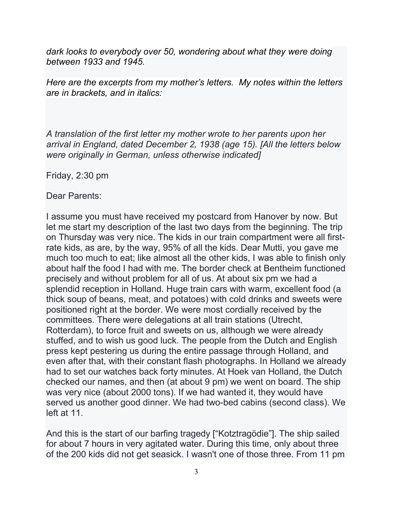dark looks to everybody over 50, wondering about what they were doing between 1933 and 1945.

Here are the excerpts from my mother's letters. My notes within the letters are in brackets, and in italics:

A translation of the first letter my mother wrote to her parents upon her arrival in England, dated December 2, 1938 (age 15). [All the letters below were originally in German, unless otherwise indicated]

Friday, 2:30 pm

Dear Parents:

I assume you must have received my postcard from Hanover by now. But let me start my description of the last two days from the beginning. The trip on Thursday was very nice. The kids in our train compartment were all firstrate kids, as are, by the way, 95% of all the kids. Dear Mutti, you gave me much too much to eat; like almost all the other kids, I was able to finish only about half the food I had with me. The border check at Bentheim functioned precisely and without problem for all of us. At about six pm we had a splendid reception in Holland. Huge train cars with warm, excellent food (a thick soup of beans, meat, and potatoes) with cold drinks and sweets were positioned right at the border. We were most cordially received by the committees. There were delegations at all train stations (Utrecht, Rotterdam), to force fruit and sweets on us, although we were already stuffed, and to wish us good luck. The people from the Dutch and English press kept pestering us during the entire passage through Holland, and even after that, with their constant flash photographs. In Holland we already had to set our watches back forty minutes. At Hoek van Holland, the Dutch checked our names, and then (at about 9 pm) we went on board. The ship was very nice (about 2000 tons). If we had wanted it, they would have served us another good dinner. We had two-bed cabins (second class). We left at 11.

And this is the start of our barfing tragedy ["Kotztragödie"]. The ship sailed for about 7 hours in very agitated water. During this time, only about three of the 200 kids did not get seasick. I wasn't one of those three. From 11 pm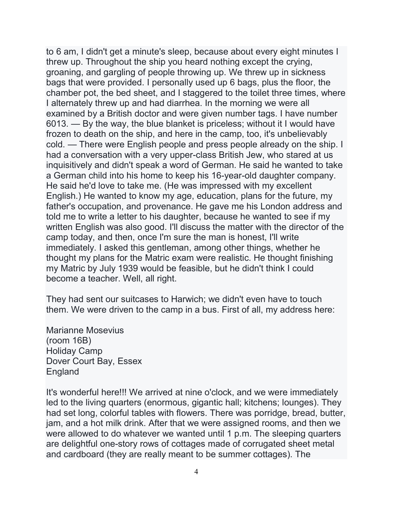to 6 am, I didn't get a minute's sleep, because about every eight minutes I threw up. Throughout the ship you heard nothing except the crying, groaning, and gargling of people throwing up. We threw up in sickness bags that were provided. I personally used up 6 bags, plus the floor, the chamber pot, the bed sheet, and I staggered to the toilet three times, where I alternately threw up and had diarrhea. In the morning we were all examined by a British doctor and were given number tags. I have number 6013. — By the way, the blue blanket is priceless; without it I would have frozen to death on the ship, and here in the camp, too, it's unbelievably cold. — There were English people and press people already on the ship. I had a conversation with a very upper-class British Jew, who stared at us inquisitively and didn't speak a word of German. He said he wanted to take a German child into his home to keep his 16-year-old daughter company. He said he'd love to take me. (He was impressed with my excellent English.) He wanted to know my age, education, plans for the future, my father's occupation, and provenance. He gave me his London address and told me to write a letter to his daughter, because he wanted to see if my written English was also good. I'll discuss the matter with the director of the camp today, and then, once I'm sure the man is honest, I'll write immediately. I asked this gentleman, among other things, whether he thought my plans for the Matric exam were realistic. He thought finishing my Matric by July 1939 would be feasible, but he didn't think I could become a teacher. Well, all right.

They had sent our suitcases to Harwich; we didn't even have to touch them. We were driven to the camp in a bus. First of all, my address here:

Marianne Mosevius (room 16B) Holiday Camp Dover Court Bay, Essex England

It's wonderful here!!! We arrived at nine o'clock, and we were immediately led to the living quarters (enormous, gigantic hall; kitchens; lounges). They had set long, colorful tables with flowers. There was porridge, bread, butter, jam, and a hot milk drink. After that we were assigned rooms, and then we were allowed to do whatever we wanted until 1 p.m. The sleeping quarters are delightful one-story rows of cottages made of corrugated sheet metal and cardboard (they are really meant to be summer cottages). The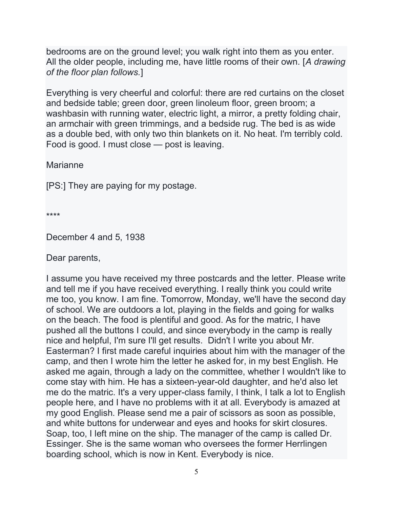bedrooms are on the ground level; you walk right into them as you enter. All the older people, including me, have little rooms of their own. [A drawing of the floor plan follows.]

Everything is very cheerful and colorful: there are red curtains on the closet and bedside table; green door, green linoleum floor, green broom; a washbasin with running water, electric light, a mirror, a pretty folding chair, an armchair with green trimmings, and a bedside rug. The bed is as wide as a double bed, with only two thin blankets on it. No heat. I'm terribly cold. Food is good. I must close — post is leaving.

**Marianne** 

[PS:] They are paying for my postage.

\*\*\*\*

December 4 and 5, 1938

Dear parents,

I assume you have received my three postcards and the letter. Please write and tell me if you have received everything. I really think you could write me too, you know. I am fine. Tomorrow, Monday, we'll have the second day of school. We are outdoors a lot, playing in the fields and going for walks on the beach. The food is plentiful and good. As for the matric, I have pushed all the buttons I could, and since everybody in the camp is really nice and helpful, I'm sure I'll get results. Didn't I write you about Mr. Easterman? I first made careful inquiries about him with the manager of the camp, and then I wrote him the letter he asked for, in my best English. He asked me again, through a lady on the committee, whether I wouldn't like to come stay with him. He has a sixteen-year-old daughter, and he'd also let me do the matric. It's a very upper-class family, I think, I talk a lot to English people here, and I have no problems with it at all. Everybody is amazed at my good English. Please send me a pair of scissors as soon as possible, and white buttons for underwear and eyes and hooks for skirt closures. Soap, too, I left mine on the ship. The manager of the camp is called Dr. Essinger. She is the same woman who oversees the former Herrlingen boarding school, which is now in Kent. Everybody is nice.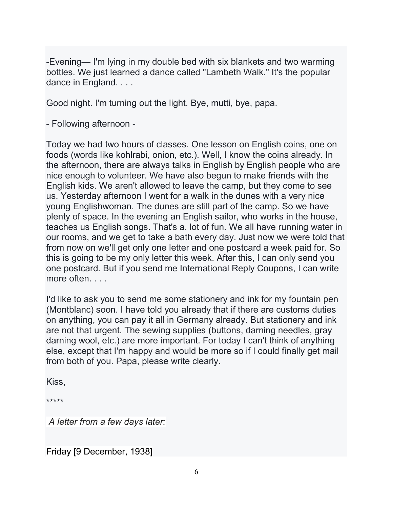-Evening— I'm lying in my double bed with six blankets and two warming bottles. We just learned a dance called "Lambeth Walk." It's the popular dance in England. . . .

Good night. I'm turning out the light. Bye, mutti, bye, papa.

- Following afternoon -

Today we had two hours of classes. One lesson on English coins, one on foods (words like kohlrabi, onion, etc.). Well, I know the coins already. In the afternoon, there are always talks in English by English people who are nice enough to volunteer. We have also begun to make friends with the English kids. We aren't allowed to leave the camp, but they come to see us. Yesterday afternoon I went for a walk in the dunes with a very nice young Englishwoman. The dunes are still part of the camp. So we have plenty of space. In the evening an English sailor, who works in the house, teaches us English songs. That's a. lot of fun. We all have running water in our rooms, and we get to take a bath every day. Just now we were told that from now on we'll get only one letter and one postcard a week paid for. So this is going to be my only letter this week. After this, I can only send you one postcard. But if you send me International Reply Coupons, I can write more often. . . .

I'd like to ask you to send me some stationery and ink for my fountain pen (Montblanc) soon. I have told you already that if there are customs duties on anything, you can pay it all in Germany already. But stationery and ink are not that urgent. The sewing supplies (buttons, darning needles, gray darning wool, etc.) are more important. For today I can't think of anything else, except that I'm happy and would be more so if I could finally get mail from both of you. Papa, please write clearly.

Kiss,

\*\*\*\*\*

A letter from a few days later:

Friday [9 December, 1938]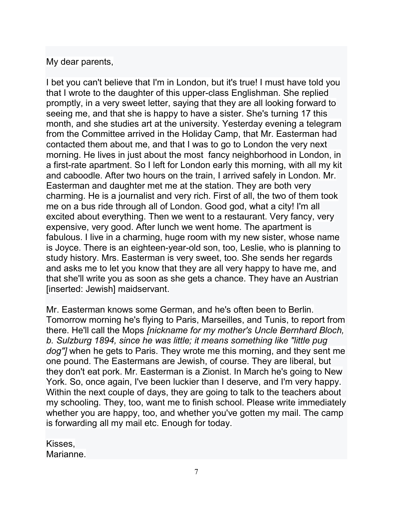## My dear parents,

I bet you can't believe that I'm in London, but it's true! I must have told you that I wrote to the daughter of this upper-class Englishman. She replied promptly, in a very sweet letter, saying that they are all looking forward to seeing me, and that she is happy to have a sister. She's turning 17 this month, and she studies art at the university. Yesterday evening a telegram from the Committee arrived in the Holiday Camp, that Mr. Easterman had contacted them about me, and that I was to go to London the very next morning. He lives in just about the most fancy neighborhood in London, in a first-rate apartment. So I left for London early this morning, with all my kit and caboodle. After two hours on the train, I arrived safely in London. Mr. Easterman and daughter met me at the station. They are both very charming. He is a journalist and very rich. First of all, the two of them took me on a bus ride through all of London. Good god, what a city! I'm all excited about everything. Then we went to a restaurant. Very fancy, very expensive, very good. After lunch we went home. The apartment is fabulous. I live in a charming, huge room with my new sister, whose name is Joyce. There is an eighteen-year-old son, too, Leslie, who is planning to study history. Mrs. Easterman is very sweet, too. She sends her regards and asks me to let you know that they are all very happy to have me, and that she'll write you as soon as she gets a chance. They have an Austrian [inserted: Jewish] maidservant.

Mr. Easterman knows some German, and he's often been to Berlin. Tomorrow morning he's flying to Paris, Marseilles, and Tunis, to report from there. He'll call the Mops [nickname for my mother's Uncle Bernhard Bloch, b. Sulzburg 1894, since he was little; it means something like "little pug dog"] when he gets to Paris. They wrote me this morning, and they sent me one pound. The Eastermans are Jewish, of course. They are liberal, but they don't eat pork. Mr. Easterman is a Zionist. In March he's going to New York. So, once again, I've been luckier than I deserve, and I'm very happy. Within the next couple of days, they are going to talk to the teachers about my schooling. They, too, want me to finish school. Please write immediately whether you are happy, too, and whether you've gotten my mail. The camp is forwarding all my mail etc. Enough for today.

Kisses, Marianne.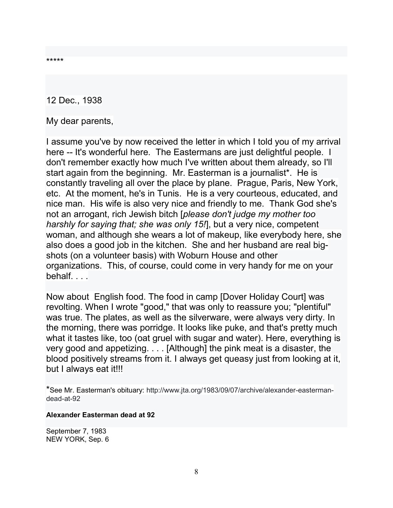\*\*\*\*\*

12 Dec., 1938

My dear parents,

I assume you've by now received the letter in which I told you of my arrival here -- It's wonderful here. The Eastermans are just delightful people. I don't remember exactly how much I've written about them already, so I'll start again from the beginning. Mr. Easterman is a journalist\*. He is constantly traveling all over the place by plane. Prague, Paris, New York, etc. At the moment, he's in Tunis. He is a very courteous, educated, and nice man. His wife is also very nice and friendly to me. Thank God she's not an arrogant, rich Jewish bitch [please don't judge my mother too harshly for saying that; she was only 15!], but a very nice, competent woman, and although she wears a lot of makeup, like everybody here, she also does a good job in the kitchen. She and her husband are real bigshots (on a volunteer basis) with Woburn House and other organizations. This, of course, could come in very handy for me on your behalf...

Now about English food. The food in camp [Dover Holiday Court] was revolting. When I wrote "good," that was only to reassure you; "plentiful" was true. The plates, as well as the silverware, were always very dirty. In the morning, there was porridge. It looks like puke, and that's pretty much what it tastes like, too (oat gruel with sugar and water). Here, everything is very good and appetizing. . . . [Although] the pink meat is a disaster, the blood positively streams from it. I always get queasy just from looking at it, but I always eat it!!!

\*See Mr. Easterman's obituary: http://www.jta.org/1983/09/07/archive/alexander-eastermandead-at-92

#### Alexander Easterman dead at 92

September 7, 1983 NEW YORK, Sep. 6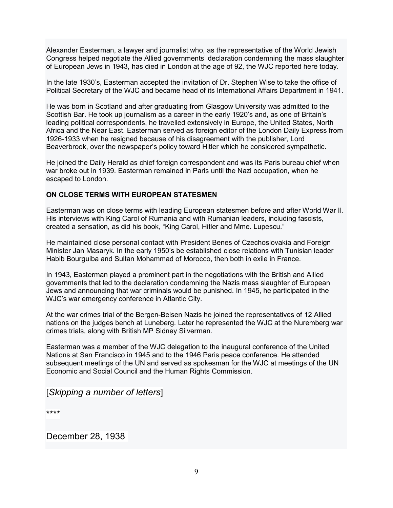Alexander Easterman, a lawyer and journalist who, as the representative of the World Jewish Congress helped negotiate the Allied governments' declaration condemning the mass slaughter of European Jews in 1943, has died in London at the age of 92, the WJC reported here today.

In the late 1930's, Easterman accepted the invitation of Dr. Stephen Wise to take the office of Political Secretary of the WJC and became head of its International Affairs Department in 1941.

He was born in Scotland and after graduating from Glasgow University was admitted to the Scottish Bar. He took up journalism as a career in the early 1920's and, as one of Britain's leading political correspondents, he travelled extensively in Europe, the United States, North Africa and the Near East. Easterman served as foreign editor of the London Daily Express from 1926-1933 when he resigned because of his disagreement with the publisher, Lord Beaverbrook, over the newspaper's policy toward Hitler which he considered sympathetic.

He joined the Daily Herald as chief foreign correspondent and was its Paris bureau chief when war broke out in 1939. Easterman remained in Paris until the Nazi occupation, when he escaped to London.

#### ON CLOSE TERMS WITH EUROPEAN STATESMEN

Easterman was on close terms with leading European statesmen before and after World War II. His interviews with King Carol of Rumania and with Rumanian leaders, including fascists, created a sensation, as did his book, "King Carol, Hitler and Mme. Lupescu."

He maintained close personal contact with President Benes of Czechoslovakia and Foreign Minister Jan Masaryk. In the early 1950's be established close relations with Tunisian leader Habib Bourguiba and Sultan Mohammad of Morocco, then both in exile in France.

In 1943, Easterman played a prominent part in the negotiations with the British and Allied governments that led to the declaration condemning the Nazis mass slaughter of European Jews and announcing that war criminals would be punished. In 1945, he participated in the WJC's war emergency conference in Atlantic City.

At the war crimes trial of the Bergen-Belsen Nazis he joined the representatives of 12 Allied nations on the judges bench at Luneberg. Later he represented the WJC at the Nuremberg war crimes trials, along with British MP Sidney Silverman.

Easterman was a member of the WJC delegation to the inaugural conference of the United Nations at San Francisco in 1945 and to the 1946 Paris peace conference. He attended subsequent meetings of the UN and served as spokesman for the WJC at meetings of the UN Economic and Social Council and the Human Rights Commission.

[Skipping a number of letters]

\*\*\*\*

December 28, 1938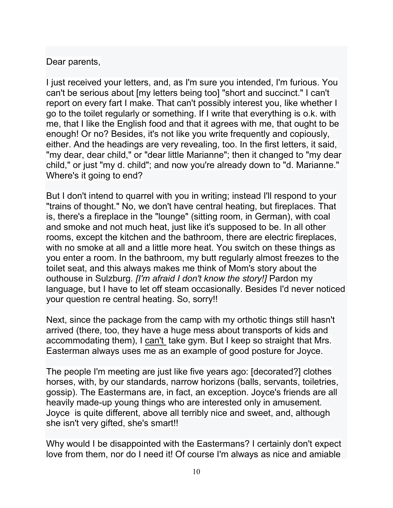## Dear parents,

I just received your letters, and, as I'm sure you intended, I'm furious. You can't be serious about [my letters being too] "short and succinct." I can't report on every fart I make. That can't possibly interest you, like whether I go to the toilet regularly or something. If I write that everything is o.k. with me, that I like the English food and that it agrees with me, that ought to be enough! Or no? Besides, it's not like you write frequently and copiously, either. And the headings are very revealing, too. In the first letters, it said, "my dear, dear child," or "dear little Marianne"; then it changed to "my dear child," or just "my d. child"; and now you're already down to "d. Marianne." Where's it going to end?

But I don't intend to quarrel with you in writing; instead I'll respond to your "trains of thought." No, we don't have central heating, but fireplaces. That is, there's a fireplace in the "lounge" (sitting room, in German), with coal and smoke and not much heat, just like it's supposed to be. In all other rooms, except the kitchen and the bathroom, there are electric fireplaces, with no smoke at all and a little more heat. You switch on these things as you enter a room. In the bathroom, my butt regularly almost freezes to the toilet seat, and this always makes me think of Mom's story about the outhouse in Sulzburg. *[I'm afraid I don't know the story!]* Pardon my language, but I have to let off steam occasionally. Besides I'd never noticed your question re central heating. So, sorry!!

Next, since the package from the camp with my orthotic things still hasn't arrived (there, too, they have a huge mess about transports of kids and accommodating them), I can't take gym. But I keep so straight that Mrs. Easterman always uses me as an example of good posture for Joyce.

The people I'm meeting are just like five years ago: [decorated?] clothes horses, with, by our standards, narrow horizons (balls, servants, toiletries, gossip). The Eastermans are, in fact, an exception. Joyce's friends are all heavily made-up young things who are interested only in amusement. Joyce is quite different, above all terribly nice and sweet, and, although she isn't very gifted, she's smart!!

Why would I be disappointed with the Eastermans? I certainly don't expect love from them, nor do I need it! Of course I'm always as nice and amiable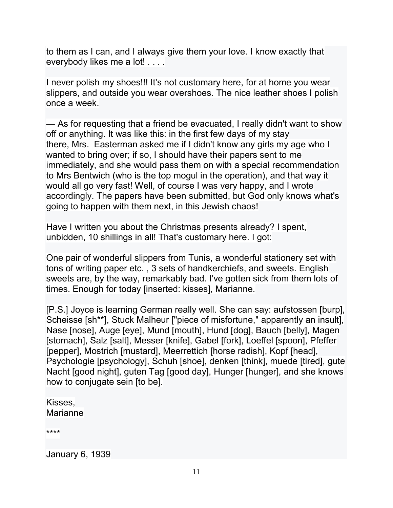to them as I can, and I always give them your love. I know exactly that everybody likes me a lot! . . . .

I never polish my shoes!!! It's not customary here, for at home you wear slippers, and outside you wear overshoes. The nice leather shoes I polish once a week.

— As for requesting that a friend be evacuated, I really didn't want to show off or anything. It was like this: in the first few days of my stay there, Mrs. Easterman asked me if I didn't know any girls my age who I wanted to bring over; if so, I should have their papers sent to me immediately, and she would pass them on with a special recommendation to Mrs Bentwich (who is the top mogul in the operation), and that way it would all go very fast! Well, of course I was very happy, and I wrote accordingly. The papers have been submitted, but God only knows what's going to happen with them next, in this Jewish chaos!

Have I written you about the Christmas presents already? I spent, unbidden, 10 shillings in all! That's customary here. I got:

One pair of wonderful slippers from Tunis, a wonderful stationery set with tons of writing paper etc. , 3 sets of handkerchiefs, and sweets. English sweets are, by the way, remarkably bad. I've gotten sick from them lots of times. Enough for today [inserted: kisses], Marianne.

[P.S.] Joyce is learning German really well. She can say: aufstossen [burp], Scheisse [sh\*\*], Stuck Malheur ["piece of misfortune," apparently an insult], Nase [nose], Auge [eye], Mund [mouth], Hund [dog], Bauch [belly], Magen [stomach], Salz [salt], Messer [knife], Gabel [fork], Loeffel [spoon], Pfeffer [pepper], Mostrich [mustard], Meerrettich [horse radish], Kopf [head], Psychologie [psychology], Schuh [shoe], denken [think], muede [tired], gute Nacht [good night], guten Tag [good day], Hunger [hunger], and she knows how to conjugate sein [to be].

Kisses, **Marianne** 

\*\*\*\*

January 6, 1939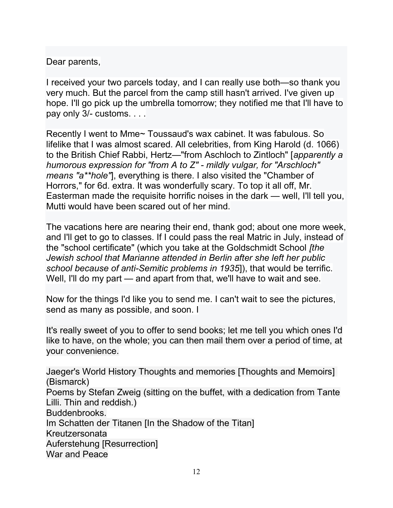Dear parents,

I received your two parcels today, and I can really use both—so thank you very much. But the parcel from the camp still hasn't arrived. I've given up hope. I'll go pick up the umbrella tomorrow; they notified me that I'll have to pay only 3/- customs. . . .

Recently I went to Mme~ Toussaud's wax cabinet. It was fabulous. So lifelike that I was almost scared. All celebrities, from King Harold (d. 1066) to the British Chief Rabbi, Hertz—"from Aschloch to Zintloch" [apparently a humorous expression for "from A to Z" - mildly vulgar, for "Arschloch" means "a\*\*hole", everything is there. I also visited the "Chamber of Horrors," for 6d. extra. It was wonderfully scary. To top it all off, Mr. Easterman made the requisite horrific noises in the dark — well, I'll tell you, Mutti would have been scared out of her mind.

The vacations here are nearing their end, thank god; about one more week, and I'll get to go to classes. If I could pass the real Matric in July, instead of the "school certificate" (which you take at the Goldschmidt School [the Jewish school that Marianne attended in Berlin after she left her public school because of anti-Semitic problems in 1935]), that would be terrific. Well, I'll do my part — and apart from that, we'll have to wait and see.

Now for the things I'd like you to send me. I can't wait to see the pictures, send as many as possible, and soon. I

It's really sweet of you to offer to send books; let me tell you which ones I'd like to have, on the whole; you can then mail them over a period of time, at your convenience.

Jaeger's World History Thoughts and memories [Thoughts and Memoirs] (Bismarck) Poems by Stefan Zweig (sitting on the buffet, with a dedication from Tante Lilli. Thin and reddish.) Buddenbrooks. Im Schatten der Titanen [In the Shadow of the Titan] Kreutzersonata Auferstehung [Resurrection] War and Peace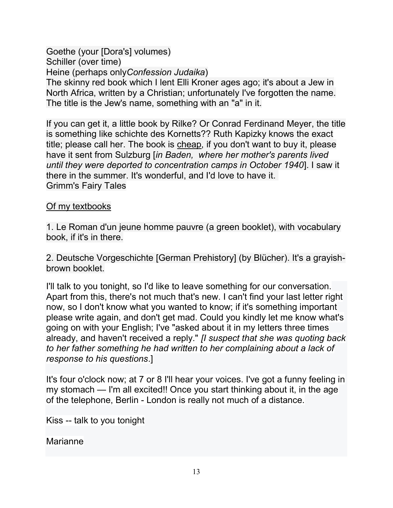Goethe (your [Dora's] volumes) Schiller (over time) Heine (perhaps onlyConfession Judaika) The skinny red book which I lent Elli Kroner ages ago; it's about a Jew in North Africa, written by a Christian; unfortunately I've forgotten the name. The title is the Jew's name, something with an "a" in it.

If you can get it, a little book by Rilke? Or Conrad Ferdinand Meyer, the title is something like schichte des Kornetts?? Ruth Kapizky knows the exact title; please call her. The book is cheap, if you don't want to buy it, please have it sent from Sulzburg [in Baden, where her mother's parents lived until they were deported to concentration camps in October 1940]. I saw it there in the summer. It's wonderful, and I'd love to have it. Grimm's Fairy Tales

### Of my textbooks

1. Le Roman d'un jeune homme pauvre (a green booklet), with vocabulary book, if it's in there.

2. Deutsche Vorgeschichte [German Prehistory] (by Blücher). It's a grayishbrown booklet.

I'll talk to you tonight, so I'd like to leave something for our conversation. Apart from this, there's not much that's new. I can't find your last letter right now, so I don't know what you wanted to know; if it's something important please write again, and don't get mad. Could you kindly let me know what's going on with your English; I've "asked about it in my letters three times already, and haven't received a reply." *[I suspect that she was quoting back* to her father something he had written to her complaining about a lack of response to his questions.]

It's four o'clock now; at 7 or 8 I'll hear your voices. I've got a funny feeling in my stomach — I'm all excited!! Once you start thinking about it, in the age of the telephone, Berlin - London is really not much of a distance.

Kiss -- talk to you tonight

**Marianne**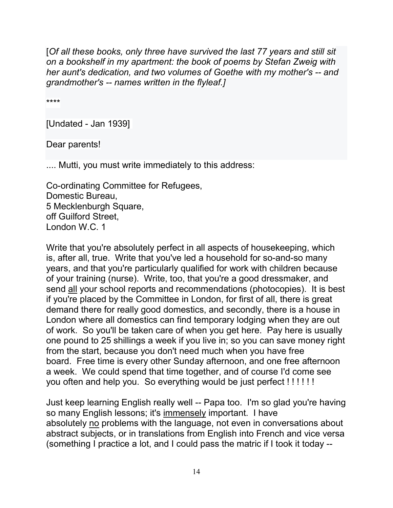[Of all these books, only three have survived the last 77 years and still sit on a bookshelf in my apartment: the book of poems by Stefan Zweig with her aunt's dedication, and two volumes of Goethe with my mother's -- and grandmother's -- names written in the flyleaf.]

\*\*\*\*

[Undated - Jan 1939]

Dear parents!

.... Mutti, you must write immediately to this address:

Co-ordinating Committee for Refugees, Domestic Bureau, 5 Mecklenburgh Square, off Guilford Street, London W.C. 1

Write that you're absolutely perfect in all aspects of housekeeping, which is, after all, true. Write that you've led a household for so-and-so many years, and that you're particularly qualified for work with children because of your training (nurse). Write, too, that you're a good dressmaker, and send all your school reports and recommendations (photocopies). It is best if you're placed by the Committee in London, for first of all, there is great demand there for really good domestics, and secondly, there is a house in London where all domestics can find temporary lodging when they are out of work. So you'll be taken care of when you get here. Pay here is usually one pound to 25 shillings a week if you live in; so you can save money right from the start, because you don't need much when you have free board. Free time is every other Sunday afternoon, and one free afternoon a week. We could spend that time together, and of course I'd come see you often and help you. So everything would be just perfect ! ! ! ! ! !

Just keep learning English really well -- Papa too. I'm so glad you're having so many English lessons; it's immensely important. I have absolutely no problems with the language, not even in conversations about abstract subjects, or in translations from English into French and vice versa (something I practice a lot, and I could pass the matric if I took it today --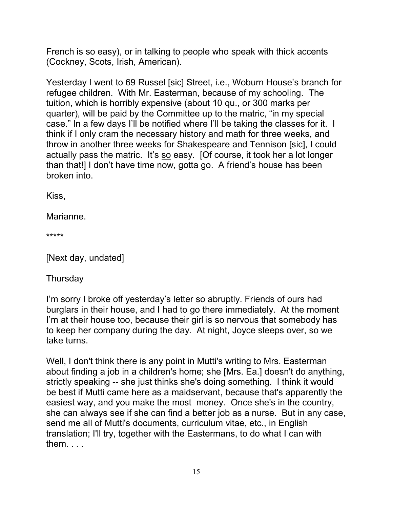French is so easy), or in talking to people who speak with thick accents (Cockney, Scots, Irish, American).

Yesterday I went to 69 Russel [sic] Street, i.e., Woburn House's branch for refugee children. With Mr. Easterman, because of my schooling. The tuition, which is horribly expensive (about 10 qu., or 300 marks per quarter), will be paid by the Committee up to the matric, "in my special case." In a few days I'll be notified where I'll be taking the classes for it. I think if I only cram the necessary history and math for three weeks, and throw in another three weeks for Shakespeare and Tennison [sic], I could actually pass the matric. It's so easy. [Of course, it took her a lot longer than that!] I don't have time now, gotta go. A friend's house has been broken into.

Kiss,

Marianne.

\*\*\*\*\*

[Next day, undated]

**Thursday** 

I'm sorry I broke off yesterday's letter so abruptly. Friends of ours had burglars in their house, and I had to go there immediately. At the moment I'm at their house too, because their girl is so nervous that somebody has to keep her company during the day. At night, Joyce sleeps over, so we take turns.

Well, I don't think there is any point in Mutti's writing to Mrs. Easterman about finding a job in a children's home; she [Mrs. Ea.] doesn't do anything, strictly speaking -- she just thinks she's doing something. I think it would be best if Mutti came here as a maidservant, because that's apparently the easiest way, and you make the most money. Once she's in the country, she can always see if she can find a better job as a nurse. But in any case, send me all of Mutti's documents, curriculum vitae, etc., in English translation; I'll try, together with the Eastermans, to do what I can with them. . . .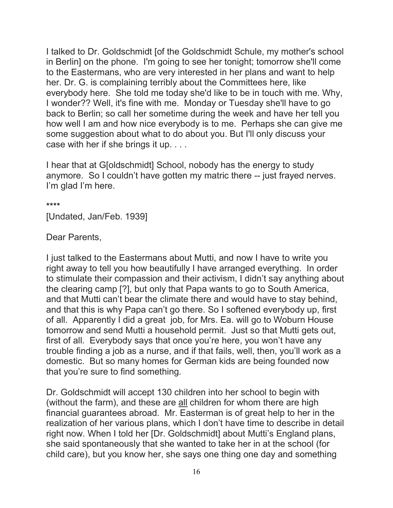I talked to Dr. Goldschmidt [of the Goldschmidt Schule, my mother's school in Berlin] on the phone. I'm going to see her tonight; tomorrow she'll come to the Eastermans, who are very interested in her plans and want to help her. Dr. G. is complaining terribly about the Committees here, like everybody here. She told me today she'd like to be in touch with me. Why, I wonder?? Well, it's fine with me. Monday or Tuesday she'll have to go back to Berlin; so call her sometime during the week and have her tell you how well I am and how nice everybody is to me. Perhaps she can give me some suggestion about what to do about you. But I'll only discuss your case with her if she brings it up. . . .

I hear that at G[oldschmidt] School, nobody has the energy to study anymore. So I couldn't have gotten my matric there -- just frayed nerves. I'm glad I'm here.

\*\*\*\*

[Undated, Jan/Feb. 1939]

Dear Parents,

I just talked to the Eastermans about Mutti, and now I have to write you right away to tell you how beautifully I have arranged everything. In order to stimulate their compassion and their activism, I didn't say anything about the clearing camp [?], but only that Papa wants to go to South America, and that Mutti can't bear the climate there and would have to stay behind, and that this is why Papa can't go there. So I softened everybody up, first of all. Apparently I did a great job, for Mrs. Ea. will go to Woburn House tomorrow and send Mutti a household permit. Just so that Mutti gets out, first of all. Everybody says that once you're here, you won't have any trouble finding a job as a nurse, and if that fails, well, then, you'll work as a domestic. But so many homes for German kids are being founded now that you're sure to find something.

Dr. Goldschmidt will accept 130 children into her school to begin with (without the farm), and these are all children for whom there are high financial guarantees abroad. Mr. Easterman is of great help to her in the realization of her various plans, which I don't have time to describe in detail right now. When I told her [Dr. Goldschmidt] about Mutti's England plans, she said spontaneously that she wanted to take her in at the school (for child care), but you know her, she says one thing one day and something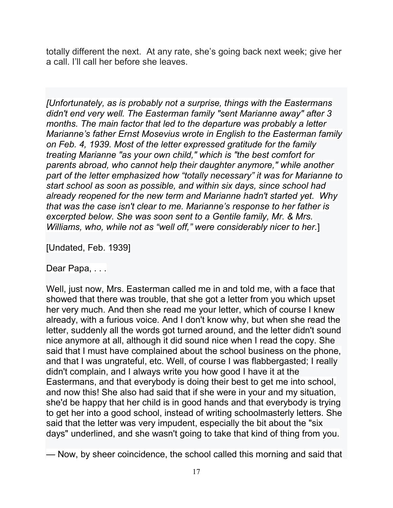totally different the next. At any rate, she's going back next week; give her a call. I'll call her before she leaves.

[Unfortunately, as is probably not a surprise, things with the Eastermans didn't end very well. The Easterman family "sent Marianne away" after 3 months. The main factor that led to the departure was probably a letter Marianne's father Ernst Mosevius wrote in English to the Easterman family on Feb. 4, 1939. Most of the letter expressed gratitude for the family treating Marianne "as your own child," which is "the best comfort for parents abroad, who cannot help their daughter anymore," while another part of the letter emphasized how "totally necessary" it was for Marianne to start school as soon as possible, and within six days, since school had already reopened for the new term and Marianne hadn't started yet. Why that was the case isn't clear to me. Marianne's response to her father is excerpted below. She was soon sent to a Gentile family, Mr. & Mrs. Williams, who, while not as "well off," were considerably nicer to her.]

[Undated, Feb. 1939]

Dear Papa, . . .

Well, just now, Mrs. Easterman called me in and told me, with a face that showed that there was trouble, that she got a letter from you which upset her very much. And then she read me your letter, which of course I knew already, with a furious voice. And I don't know why, but when she read the letter, suddenly all the words got turned around, and the letter didn't sound nice anymore at all, although it did sound nice when I read the copy. She said that I must have complained about the school business on the phone, and that I was ungrateful, etc. Well, of course I was flabbergasted; I really didn't complain, and I always write you how good I have it at the Eastermans, and that everybody is doing their best to get me into school, and now this! She also had said that if she were in your and my situation, she'd be happy that her child is in good hands and that everybody is trying to get her into a good school, instead of writing schoolmasterly letters. She said that the letter was very impudent, especially the bit about the "six days" underlined, and she wasn't going to take that kind of thing from you.

— Now, by sheer coincidence, the school called this morning and said that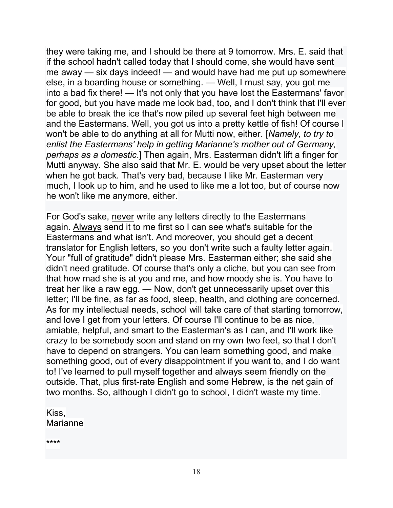they were taking me, and I should be there at 9 tomorrow. Mrs. E. said that if the school hadn't called today that I should come, she would have sent me away — six days indeed! — and would have had me put up somewhere else, in a boarding house or something. — Well, I must say, you got me into a bad fix there! — It's not only that you have lost the Eastermans' favor for good, but you have made me look bad, too, and I don't think that I'll ever be able to break the ice that's now piled up several feet high between me and the Eastermans. Well, you got us into a pretty kettle of fish! Of course I won't be able to do anything at all for Mutti now, either. [Namely, to try to enlist the Eastermans' help in getting Marianne's mother out of Germany, perhaps as a domestic.] Then again, Mrs. Easterman didn't lift a finger for Mutti anyway. She also said that Mr. E. would be very upset about the letter when he got back. That's very bad, because I like Mr. Easterman very much, I look up to him, and he used to like me a lot too, but of course now he won't like me anymore, either.

For God's sake, never write any letters directly to the Eastermans again. Always send it to me first so I can see what's suitable for the Eastermans and what isn't. And moreover, you should get a decent translator for English letters, so you don't write such a faulty letter again. Your "full of gratitude" didn't please Mrs. Easterman either; she said she didn't need gratitude. Of course that's only a cliche, but you can see from that how mad she is at you and me, and how moody she is. You have to treat her like a raw egg. — Now, don't get unnecessarily upset over this letter; I'll be fine, as far as food, sleep, health, and clothing are concerned. As for my intellectual needs, school will take care of that starting tomorrow, and love I get from your letters. Of course I'll continue to be as nice, amiable, helpful, and smart to the Easterman's as I can, and I'll work like crazy to be somebody soon and stand on my own two feet, so that I don't have to depend on strangers. You can learn something good, and make something good, out of every disappointment if you want to, and I do want to! I've learned to pull myself together and always seem friendly on the outside. That, plus first-rate English and some Hebrew, is the net gain of two months. So, although I didn't go to school, I didn't waste my time.

Kiss, **Marianne** 

\*\*\*\*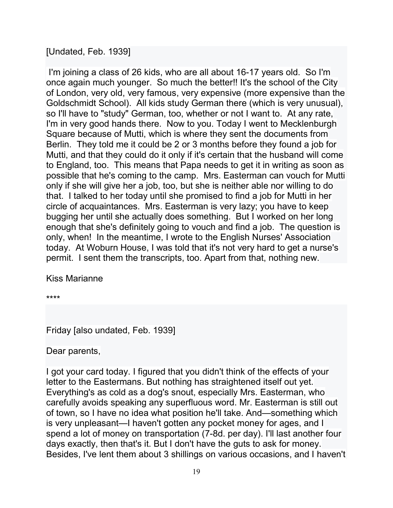# [Undated, Feb. 1939]

 I'm joining a class of 26 kids, who are all about 16-17 years old. So I'm once again much younger. So much the better!! It's the school of the City of London, very old, very famous, very expensive (more expensive than the Goldschmidt School). All kids study German there (which is very unusual), so I'll have to "study" German, too, whether or not I want to. At any rate, I'm in very good hands there. Now to you. Today I went to Mecklenburgh Square because of Mutti, which is where they sent the documents from Berlin. They told me it could be 2 or 3 months before they found a job for Mutti, and that they could do it only if it's certain that the husband will come to England, too. This means that Papa needs to get it in writing as soon as possible that he's coming to the camp. Mrs. Easterman can vouch for Mutti only if she will give her a job, too, but she is neither able nor willing to do that. I talked to her today until she promised to find a job for Mutti in her circle of acquaintances. Mrs. Easterman is very lazy; you have to keep bugging her until she actually does something. But I worked on her long enough that she's definitely going to vouch and find a job. The question is only, when! In the meantime, I wrote to the English Nurses' Association today. At Woburn House, I was told that it's not very hard to get a nurse's permit. I sent them the transcripts, too. Apart from that, nothing new.

Kiss Marianne

\*\*\*\*

Friday [also undated, Feb. 1939]

Dear parents,

I got your card today. I figured that you didn't think of the effects of your letter to the Eastermans. But nothing has straightened itself out yet. Everything's as cold as a dog's snout, especially Mrs. Easterman, who carefully avoids speaking any superfluous word. Mr. Easterman is still out of town, so I have no idea what position he'll take. And—something which is very unpleasant—I haven't gotten any pocket money for ages, and I spend a lot of money on transportation (7-8d. per day). I'll last another four days exactly, then that's it. But I don't have the guts to ask for money. Besides, I've lent them about 3 shillings on various occasions, and I haven't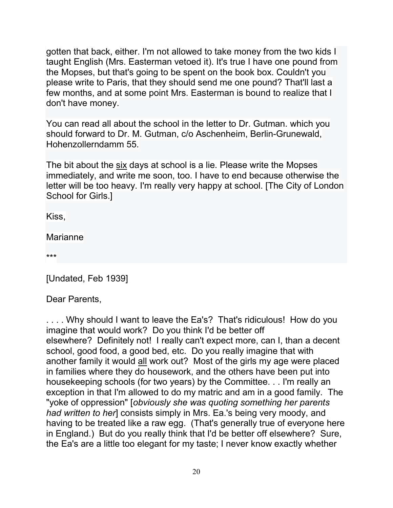gotten that back, either. I'm not allowed to take money from the two kids I taught English (Mrs. Easterman vetoed it). It's true I have one pound from the Mopses, but that's going to be spent on the book box. Couldn't you please write to Paris, that they should send me one pound? That'll last a few months, and at some point Mrs. Easterman is bound to realize that I don't have money.

You can read all about the school in the letter to Dr. Gutman. which you should forward to Dr. M. Gutman, c/o Aschenheim, Berlin-Grunewald, Hohenzollerndamm 55.

The bit about the six days at school is a lie. Please write the Mopses immediately, and write me soon, too. I have to end because otherwise the letter will be too heavy. I'm really very happy at school. [The City of London School for Girls.]

Kiss,

Marianne

\*\*\*

[Undated, Feb 1939]

Dear Parents,

. . . . Why should I want to leave the Ea's? That's ridiculous! How do you imagine that would work? Do you think I'd be better off elsewhere? Definitely not! I really can't expect more, can I, than a decent school, good food, a good bed, etc. Do you really imagine that with another family it would all work out? Most of the girls my age were placed in families where they do housework, and the others have been put into housekeeping schools (for two years) by the Committee. . . I'm really an exception in that I'm allowed to do my matric and am in a good family. The "yoke of oppression" [obviously she was quoting something her parents had written to her] consists simply in Mrs. Ea.'s being very moody, and having to be treated like a raw egg. (That's generally true of everyone here in England.) But do you really think that I'd be better off elsewhere? Sure, the Ea's are a little too elegant for my taste; I never know exactly whether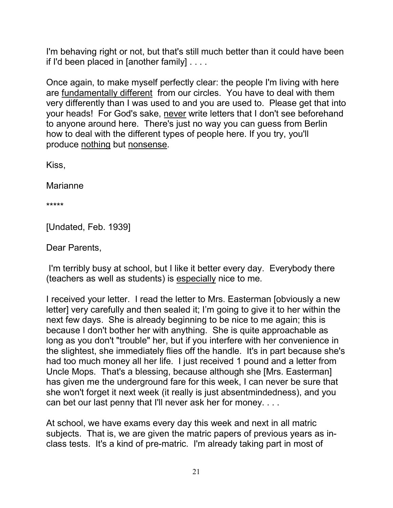I'm behaving right or not, but that's still much better than it could have been if I'd been placed in [another family] . . . .

Once again, to make myself perfectly clear: the people I'm living with here are fundamentally different from our circles. You have to deal with them very differently than I was used to and you are used to. Please get that into your heads! For God's sake, never write letters that I don't see beforehand to anyone around here. There's just no way you can guess from Berlin how to deal with the different types of people here. If you try, you'll produce nothing but nonsense.

Kiss,

Marianne

\*\*\*\*\*

[Undated, Feb. 1939]

Dear Parents,

 I'm terribly busy at school, but I like it better every day. Everybody there (teachers as well as students) is especially nice to me.

I received your letter. I read the letter to Mrs. Easterman [obviously a new letter] very carefully and then sealed it; I'm going to give it to her within the next few days. She is already beginning to be nice to me again; this is because I don't bother her with anything. She is quite approachable as long as you don't "trouble" her, but if you interfere with her convenience in the slightest, she immediately flies off the handle. It's in part because she's had too much money all her life. I just received 1 pound and a letter from Uncle Mops. That's a blessing, because although she [Mrs. Easterman] has given me the underground fare for this week, I can never be sure that she won't forget it next week (it really is just absentmindedness), and you can bet our last penny that I'll never ask her for money. . . .

At school, we have exams every day this week and next in all matric subjects. That is, we are given the matric papers of previous years as inclass tests. It's a kind of pre-matric. I'm already taking part in most of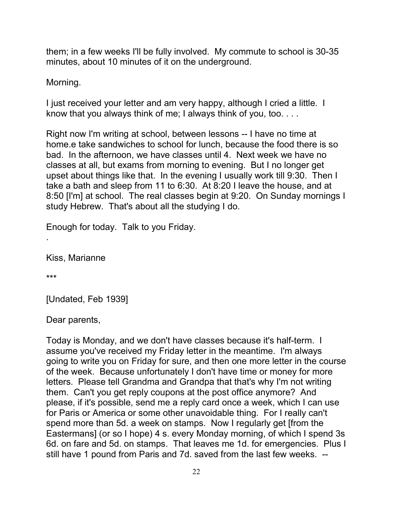them; in a few weeks I'll be fully involved. My commute to school is 30-35 minutes, about 10 minutes of it on the underground.

Morning.

I just received your letter and am very happy, although I cried a little. I know that you always think of me; I always think of you, too. . . .

Right now I'm writing at school, between lessons -- I have no time at home.e take sandwiches to school for lunch, because the food there is so bad. In the afternoon, we have classes until 4. Next week we have no classes at all, but exams from morning to evening. But I no longer get upset about things like that. In the evening I usually work till 9:30. Then I take a bath and sleep from 11 to 6:30. At 8:20 I leave the house, and at 8:50 [I'm] at school. The real classes begin at 9:20. On Sunday mornings I study Hebrew. That's about all the studying I do.

Enough for today. Talk to you Friday.

Kiss, Marianne

\*\*\*

.

[Undated, Feb 1939]

Dear parents,

Today is Monday, and we don't have classes because it's half-term. I assume you've received my Friday letter in the meantime. I'm always going to write you on Friday for sure, and then one more letter in the course of the week. Because unfortunately I don't have time or money for more letters. Please tell Grandma and Grandpa that that's why I'm not writing them. Can't you get reply coupons at the post office anymore? And please, if it's possible, send me a reply card once a week, which I can use for Paris or America or some other unavoidable thing. For I really can't spend more than 5d. a week on stamps. Now I regularly get [from the Eastermans] (or so I hope) 4 s. every Monday morning, of which I spend 3s 6d. on fare and 5d. on stamps. That leaves me 1d. for emergencies. Plus I still have 1 pound from Paris and 7d. saved from the last few weeks. --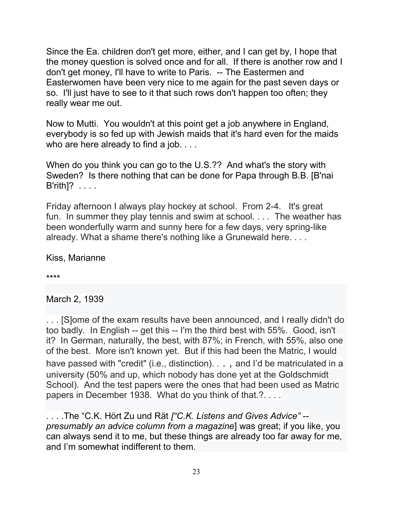Since the Ea. children don't get more, either, and I can get by, I hope that the money question is solved once and for all. If there is another row and I don't get money, I'll have to write to Paris. -- The Eastermen and Easterwomen have been very nice to me again for the past seven days or so. I'll just have to see to it that such rows don't happen too often; they really wear me out.

Now to Mutti. You wouldn't at this point get a job anywhere in England, everybody is so fed up with Jewish maids that it's hard even for the maids who are here already to find a job. . . .

When do you think you can go to the U.S.?? And what's the story with Sweden? Is there nothing that can be done for Papa through B.B. [B'nai B'rith]? . . . .

Friday afternoon I always play hockey at school. From 2-4. It's great fun. In summer they play tennis and swim at school. . . . The weather has been wonderfully warm and sunny here for a few days, very spring-like already. What a shame there's nothing like a Grunewald here. . . .

Kiss, Marianne

\*\*\*\*

March 2, 1939

. . . [S]ome of the exam results have been announced, and I really didn't do too badly. In English -- get this -- I'm the third best with 55%. Good, isn't it? In German, naturally, the best, with 87%; in French, with 55%, also one of the best. More isn't known yet. But if this had been the Matric, I would have passed with "credit" (i.e., distinction). . . , and I'd be matriculated in a university (50% and up, which nobody has done yet at the Goldschmidt School). And the test papers were the ones that had been used as Matric papers in December 1938. What do you think of that.?. . . .

....The "C.K. Hört Zu und Rät ["C.K. Listens and Gives Advice" -presumably an advice column from a magazine] was great; if you like, you can always send it to me, but these things are already too far away for me, and I'm somewhat indifferent to them.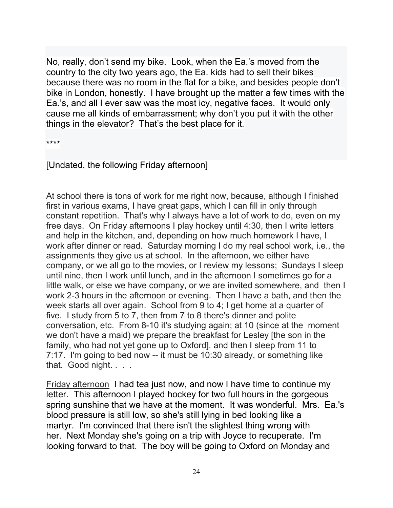No, really, don't send my bike. Look, when the Ea.'s moved from the country to the city two years ago, the Ea. kids had to sell their bikes because there was no room in the flat for a bike, and besides people don't bike in London, honestly. I have brought up the matter a few times with the Ea.'s, and all I ever saw was the most icy, negative faces. It would only cause me all kinds of embarrassment; why don't you put it with the other things in the elevator? That's the best place for it.

\*\*\*\*

### [Undated, the following Friday afternoon]

At school there is tons of work for me right now, because, although I finished first in various exams, I have great gaps, which I can fill in only through constant repetition. That's why I always have a lot of work to do, even on my free days. On Friday afternoons I play hockey until 4:30, then I write letters and help in the kitchen, and, depending on how much homework I have, I work after dinner or read. Saturday morning I do my real school work, i.e., the assignments they give us at school. In the afternoon, we either have company, or we all go to the movies, or I review my lessons; Sundays I sleep until nine, then I work until lunch, and in the afternoon I sometimes go for a little walk, or else we have company, or we are invited somewhere, and then I work 2-3 hours in the afternoon or evening. Then I have a bath, and then the week starts all over again. School from 9 to 4; I get home at a quarter of five. I study from 5 to 7, then from 7 to 8 there's dinner and polite conversation, etc. From 8-10 it's studying again; at 10 (since at the moment we don't have a maid) we prepare the breakfast for Lesley [the son in the family, who had not yet gone up to Oxford]. and then I sleep from 11 to 7:17. I'm going to bed now -- it must be 10:30 already, or something like that. Good night. . . .

Friday afternoon I had tea just now, and now I have time to continue my letter. This afternoon I played hockey for two full hours in the gorgeous spring sunshine that we have at the moment. It was wonderful. Mrs. Ea.'s blood pressure is still low, so she's still lying in bed looking like a martyr. I'm convinced that there isn't the slightest thing wrong with her. Next Monday she's going on a trip with Joyce to recuperate. I'm looking forward to that. The boy will be going to Oxford on Monday and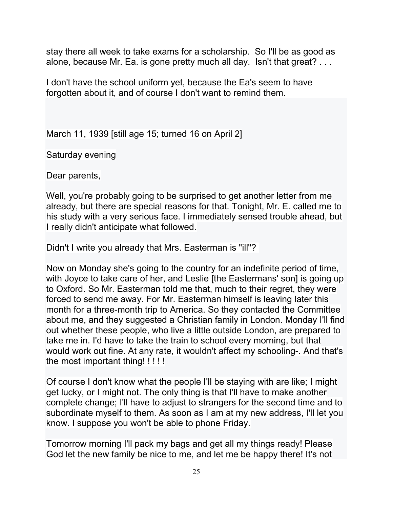stay there all week to take exams for a scholarship. So I'll be as good as alone, because Mr. Ea. is gone pretty much all day. Isn't that great? . . .

I don't have the school uniform yet, because the Ea's seem to have forgotten about it, and of course I don't want to remind them.

March 11, 1939 [still age 15; turned 16 on April 2]

Saturday evening

Dear parents,

Well, you're probably going to be surprised to get another letter from me already, but there are special reasons for that. Tonight, Mr. E. called me to his study with a very serious face. I immediately sensed trouble ahead, but I really didn't anticipate what followed.

Didn't I write you already that Mrs. Easterman is "ill"?

Now on Monday she's going to the country for an indefinite period of time, with Joyce to take care of her, and Leslie [the Eastermans' son] is going up to Oxford. So Mr. Easterman told me that, much to their regret, they were forced to send me away. For Mr. Easterman himself is leaving later this month for a three-month trip to America. So they contacted the Committee about me, and they suggested a Christian family in London. Monday I'll find out whether these people, who live a little outside London, are prepared to take me in. I'd have to take the train to school every morning, but that would work out fine. At any rate, it wouldn't affect my schooling-. And that's the most important thing! ! ! ! !

Of course I don't know what the people I'll be staying with are like; I might get lucky, or I might not. The only thing is that I'll have to make another complete change; I'll have to adjust to strangers for the second time and to subordinate myself to them. As soon as I am at my new address, I'll let you know. I suppose you won't be able to phone Friday.

Tomorrow morning I'll pack my bags and get all my things ready! Please God let the new family be nice to me, and let me be happy there! It's not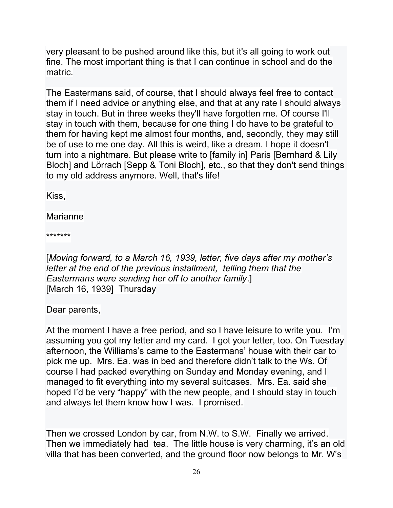very pleasant to be pushed around like this, but it's all going to work out fine. The most important thing is that I can continue in school and do the matric.

The Eastermans said, of course, that I should always feel free to contact them if I need advice or anything else, and that at any rate I should always stay in touch. But in three weeks they'll have forgotten me. Of course I'll stay in touch with them, because for one thing I do have to be grateful to them for having kept me almost four months, and, secondly, they may still be of use to me one day. All this is weird, like a dream. I hope it doesn't turn into a nightmare. But please write to [family in] Paris [Bernhard & Lily Bloch] and Lörrach [Sepp & Toni Bloch], etc., so that they don't send things to my old address anymore. Well, that's life!

Kiss,

Marianne

\*\*\*\*\*\*\*

[Moving forward, to a March 16, 1939, letter, five days after my mother's letter at the end of the previous installment, telling them that the Eastermans were sending her off to another family.] [March 16, 1939] Thursday

Dear parents,

At the moment I have a free period, and so I have leisure to write you. I'm assuming you got my letter and my card. I got your letter, too. On Tuesday afternoon, the Williams's came to the Eastermans' house with their car to pick me up. Mrs. Ea. was in bed and therefore didn't talk to the Ws. Of course I had packed everything on Sunday and Monday evening, and I managed to fit everything into my several suitcases. Mrs. Ea. said she hoped I'd be very "happy" with the new people, and I should stay in touch and always let them know how I was. I promised.

Then we crossed London by car, from N.W. to S.W. Finally we arrived. Then we immediately had tea. The little house is very charming, it's an old villa that has been converted, and the ground floor now belongs to Mr. W's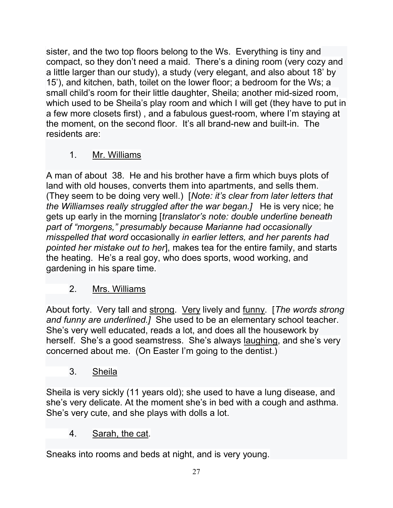sister, and the two top floors belong to the Ws. Everything is tiny and compact, so they don't need a maid. There's a dining room (very cozy and a little larger than our study), a study (very elegant, and also about 18' by 15'), and kitchen, bath, toilet on the lower floor; a bedroom for the Ws; a small child's room for their little daughter, Sheila; another mid-sized room, which used to be Sheila's play room and which I will get (they have to put in a few more closets first) , and a fabulous guest-room, where I'm staying at the moment, on the second floor. It's all brand-new and built-in. The residents are:

# 1. Mr. Williams

A man of about 38. He and his brother have a firm which buys plots of land with old houses, converts them into apartments, and sells them. (They seem to be doing very well.) [Note: it's clear from later letters that the Williamses really struggled after the war began.] He is very nice; he gets up early in the morning [translator's note: double underline beneath part of "morgens," presumably because Marianne had occasionally misspelled that word occasionally in earlier letters, and her parents had pointed her mistake out to her], makes tea for the entire family, and starts the heating. He's a real goy, who does sports, wood working, and gardening in his spare time.

# 2. Mrs. Williams

About forty. Very tall and strong. Very lively and funny. [The words strong and funny are underlined.] She used to be an elementary school teacher. She's very well educated, reads a lot, and does all the housework by herself. She's a good seamstress. She's always laughing, and she's very concerned about me. (On Easter I'm going to the dentist.)

3. Sheila

Sheila is very sickly (11 years old); she used to have a lung disease, and she's very delicate. At the moment she's in bed with a cough and asthma. She's very cute, and she plays with dolls a lot.

# 4. Sarah, the cat.

Sneaks into rooms and beds at night, and is very young.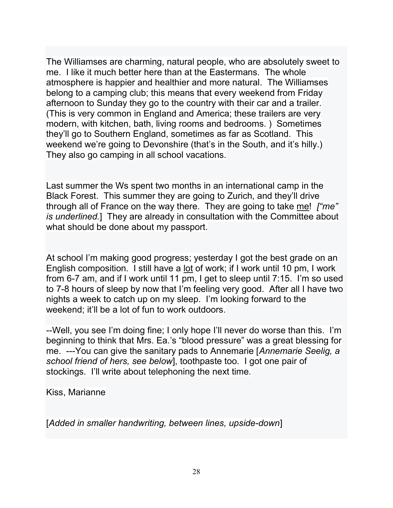The Williamses are charming, natural people, who are absolutely sweet to me. I like it much better here than at the Eastermans. The whole atmosphere is happier and healthier and more natural. The Williamses belong to a camping club; this means that every weekend from Friday afternoon to Sunday they go to the country with their car and a trailer. (This is very common in England and America; these trailers are very modern, with kitchen, bath, living rooms and bedrooms. ) Sometimes they'll go to Southern England, sometimes as far as Scotland. This weekend we're going to Devonshire (that's in the South, and it's hilly.) They also go camping in all school vacations.

Last summer the Ws spent two months in an international camp in the Black Forest. This summer they are going to Zurich, and they'll drive through all of France on the way there. They are going to take me!  $\int m e^{i\theta}$ is underlined.] They are already in consultation with the Committee about what should be done about my passport.

At school I'm making good progress; yesterday I got the best grade on an English composition. I still have a lot of work; if I work until 10 pm, I work from 6-7 am, and if I work until 11 pm, I get to sleep until 7:15. I'm so used to 7-8 hours of sleep by now that I'm feeling very good. After all I have two nights a week to catch up on my sleep. I'm looking forward to the weekend; it'll be a lot of fun to work outdoors.

--Well, you see I'm doing fine; I only hope I'll never do worse than this. I'm beginning to think that Mrs. Ea.'s "blood pressure" was a great blessing for me. ---You can give the sanitary pads to Annemarie [Annemarie Seelig, a] school friend of hers, see below], toothpaste too. I got one pair of stockings. I'll write about telephoning the next time.

Kiss, Marianne

[Added in smaller handwriting, between lines, upside-down]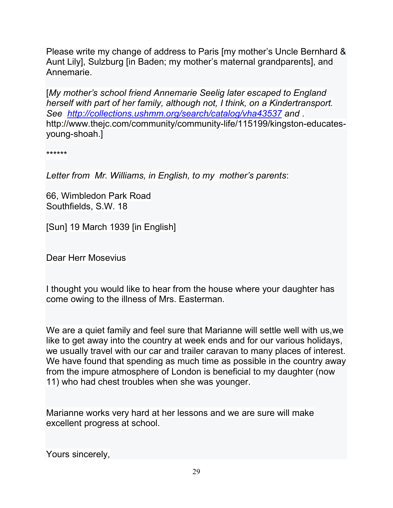Please write my change of address to Paris [my mother's Uncle Bernhard & Aunt Lily], Sulzburg [in Baden; my mother's maternal grandparents], and Annemarie.

[My mother's school friend Annemarie Seelig later escaped to England herself with part of her family, although not, I think, on a Kindertransport. See http://collections.ushmm.org/search/catalog/vha43537 and . http://www.thejc.com/community/community-life/115199/kingston-educatesyoung-shoah.]

\*\*\*\*\*\*

Letter from Mr. Williams, in English, to my mother's parents:

66, Wimbledon Park Road Southfields, S.W. 18

[Sun] 19 March 1939 [in English]

Dear Herr Mosevius

I thought you would like to hear from the house where your daughter has come owing to the illness of Mrs. Easterman.

We are a quiet family and feel sure that Marianne will settle well with us,we like to get away into the country at week ends and for our various holidays, we usually travel with our car and trailer caravan to many places of interest. We have found that spending as much time as possible in the country away from the impure atmosphere of London is beneficial to my daughter (now 11) who had chest troubles when she was younger.

Marianne works very hard at her lessons and we are sure will make excellent progress at school.

Yours sincerely,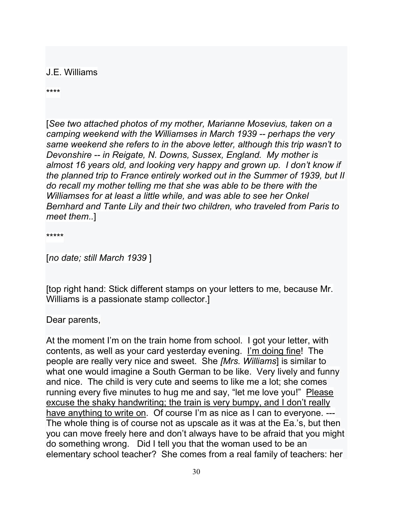J.E. Williams

\*\*\*\*

[See two attached photos of my mother, Marianne Mosevius, taken on a camping weekend with the Williamses in March 1939 -- perhaps the very same weekend she refers to in the above letter, although this trip wasn't to Devonshire -- in Reigate, N. Downs, Sussex, England. My mother is almost 16 years old, and looking very happy and grown up. I don't know if the planned trip to France entirely worked out in the Summer of 1939, but II do recall my mother telling me that she was able to be there with the Williamses for at least a little while, and was able to see her Onkel Bernhard and Tante Lily and their two children, who traveled from Paris to meet them..]

\*\*\*\*\*

[no date; still March 1939 ]

[top right hand: Stick different stamps on your letters to me, because Mr. Williams is a passionate stamp collector.]

Dear parents,

At the moment I'm on the train home from school. I got your letter, with contents, as well as your card yesterday evening. I'm doing fine! The people are really very nice and sweet. She [Mrs. Williams] is similar to what one would imagine a South German to be like. Very lively and funny and nice. The child is very cute and seems to like me a lot; she comes running every five minutes to hug me and say, "let me love you!" Please excuse the shaky handwriting; the train is very bumpy, and I don't really have anything to write on. Of course I'm as nice as I can to everyone. ---The whole thing is of course not as upscale as it was at the Ea.'s, but then you can move freely here and don't always have to be afraid that you might do something wrong. Did I tell you that the woman used to be an elementary school teacher? She comes from a real family of teachers: her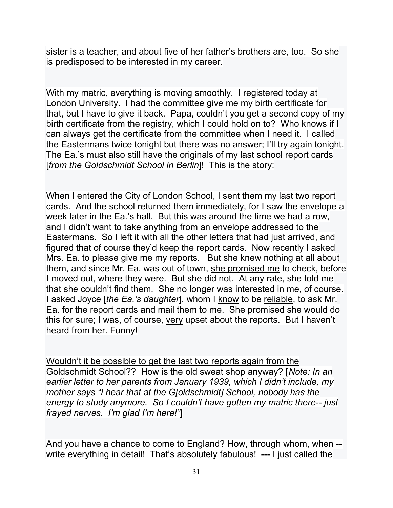sister is a teacher, and about five of her father's brothers are, too. So she is predisposed to be interested in my career.

With my matric, everything is moving smoothly. I registered today at London University. I had the committee give me my birth certificate for that, but I have to give it back. Papa, couldn't you get a second copy of my birth certificate from the registry, which I could hold on to? Who knows if I can always get the certificate from the committee when I need it. I called the Eastermans twice tonight but there was no answer; I'll try again tonight. The Ea.'s must also still have the originals of my last school report cards [from the Goldschmidt School in Berlin]! This is the story:

When I entered the City of London School, I sent them my last two report cards. And the school returned them immediately, for I saw the envelope a week later in the Ea.'s hall. But this was around the time we had a row, and I didn't want to take anything from an envelope addressed to the Eastermans. So I left it with all the other letters that had just arrived, and figured that of course they'd keep the report cards. Now recently I asked Mrs. Ea. to please give me my reports. But she knew nothing at all about them, and since Mr. Ea. was out of town, she promised me to check, before I moved out, where they were. But she did not. At any rate, she told me that she couldn't find them. She no longer was interested in me, of course. I asked Joyce [the Ea.'s daughter], whom I know to be reliable, to ask Mr. Ea. for the report cards and mail them to me. She promised she would do this for sure; I was, of course, very upset about the reports. But I haven't heard from her. Funny!

Wouldn't it be possible to get the last two reports again from the Goldschmidt School?? How is the old sweat shop anyway? [Note: In an earlier letter to her parents from January 1939, which I didn't include, my mother says "I hear that at the G[oldschmidt] School, nobody has the energy to study anymore. So I couldn't have gotten my matric there-- just frayed nerves. I'm glad I'm here!"]

And you have a chance to come to England? How, through whom, when - write everything in detail! That's absolutely fabulous! --- I just called the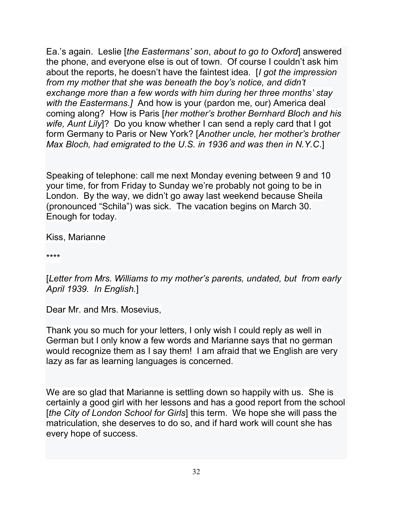Ea.'s again. Leslie [the Eastermans' son, about to go to Oxford] answered the phone, and everyone else is out of town. Of course I couldn't ask him about the reports, he doesn't have the faintest idea. [I got the impression from my mother that she was beneath the boy's notice, and didn't exchange more than a few words with him during her three months' stay with the Eastermans.*]* And how is your (pardon me, our) America deal coming along? How is Paris [her mother's brother Bernhard Bloch and his wife, Aunt Lily<sup>1</sup>? Do you know whether I can send a reply card that I got form Germany to Paris or New York? [Another uncle, her mother's brother Max Bloch, had emigrated to the U.S. in 1936 and was then in N.Y.C.]

Speaking of telephone: call me next Monday evening between 9 and 10 your time, for from Friday to Sunday we're probably not going to be in London. By the way, we didn't go away last weekend because Sheila (pronounced "Schila") was sick. The vacation begins on March 30. Enough for today.

Kiss, Marianne

\*\*\*\*

[Letter from Mrs. Williams to my mother's parents, undated, but from early April 1939. In English.]

Dear Mr. and Mrs. Mosevius,

Thank you so much for your letters, I only wish I could reply as well in German but I only know a few words and Marianne says that no german would recognize them as I say them! I am afraid that we English are very lazy as far as learning languages is concerned.

We are so glad that Marianne is settling down so happily with us. She is certainly a good girl with her lessons and has a good report from the school [the City of London School for Girls] this term. We hope she will pass the matriculation, she deserves to do so, and if hard work will count she has every hope of success.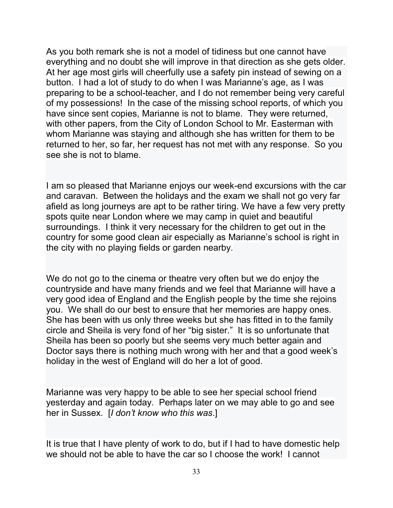As you both remark she is not a model of tidiness but one cannot have everything and no doubt she will improve in that direction as she gets older. At her age most girls will cheerfully use a safety pin instead of sewing on a button. I had a lot of study to do when I was Marianne's age, as I was preparing to be a school-teacher, and I do not remember being very careful of my possessions! In the case of the missing school reports, of which you have since sent copies, Marianne is not to blame. They were returned, with other papers, from the City of London School to Mr. Easterman with whom Marianne was staying and although she has written for them to be returned to her, so far, her request has not met with any response. So you see she is not to blame.

I am so pleased that Marianne enjoys our week-end excursions with the car and caravan. Between the holidays and the exam we shall not go very far afield as long journeys are apt to be rather tiring. We have a few very pretty spots quite near London where we may camp in quiet and beautiful surroundings. I think it very necessary for the children to get out in the country for some good clean air especially as Marianne's school is right in the city with no playing fields or garden nearby.

We do not go to the cinema or theatre very often but we do enjoy the countryside and have many friends and we feel that Marianne will have a very good idea of England and the English people by the time she rejoins you. We shall do our best to ensure that her memories are happy ones. She has been with us only three weeks but she has fitted in to the family circle and Sheila is very fond of her "big sister." It is so unfortunate that Sheila has been so poorly but she seems very much better again and Doctor says there is nothing much wrong with her and that a good week's holiday in the west of England will do her a lot of good.

Marianne was very happy to be able to see her special school friend yesterday and again today. Perhaps later on we may able to go and see her in Sussex. [I don't know who this was.]

It is true that I have plenty of work to do, but if I had to have domestic help we should not be able to have the car so I choose the work! I cannot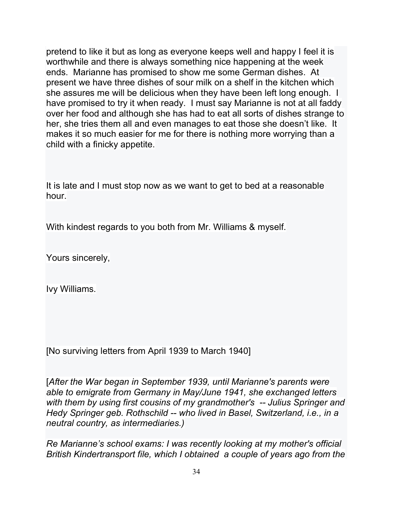pretend to like it but as long as everyone keeps well and happy I feel it is worthwhile and there is always something nice happening at the week ends. Marianne has promised to show me some German dishes. At present we have three dishes of sour milk on a shelf in the kitchen which she assures me will be delicious when they have been left long enough. I have promised to try it when ready. I must say Marianne is not at all faddy over her food and although she has had to eat all sorts of dishes strange to her, she tries them all and even manages to eat those she doesn't like. It makes it so much easier for me for there is nothing more worrying than a child with a finicky appetite.

It is late and I must stop now as we want to get to bed at a reasonable hour.

With kindest regards to you both from Mr. Williams & myself.

Yours sincerely,

Ivy Williams.

[No surviving letters from April 1939 to March 1940]

[After the War began in September 1939, until Marianne's parents were able to emigrate from Germany in May/June 1941, she exchanged letters with them by using first cousins of my grandmother's -- Julius Springer and Hedy Springer geb. Rothschild -- who lived in Basel, Switzerland, i.e., in a neutral country, as intermediaries.)

Re Marianne's school exams: I was recently looking at my mother's official British Kindertransport file, which I obtained a couple of years ago from the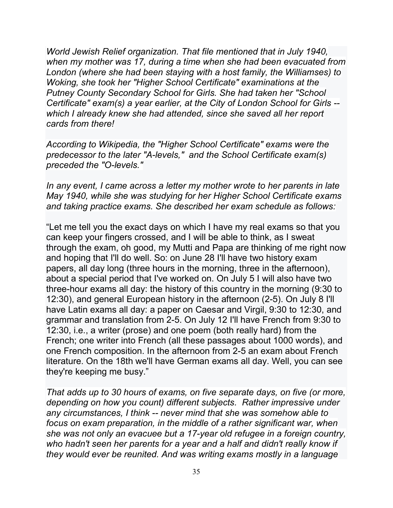World Jewish Relief organization. That file mentioned that in July 1940, when my mother was 17, during a time when she had been evacuated from London (where she had been staying with a host family, the Williamses) to Woking, she took her "Higher School Certificate" examinations at the Putney County Secondary School for Girls. She had taken her "School Certificate" exam(s) a year earlier, at the City of London School for Girls - which I already knew she had attended, since she saved all her report cards from there!

According to Wikipedia, the "Higher School Certificate" exams were the predecessor to the later "A-levels," and the School Certificate exam(s) preceded the "O-levels."

In any event, I came across a letter my mother wrote to her parents in late May 1940, while she was studying for her Higher School Certificate exams and taking practice exams. She described her exam schedule as follows:

"Let me tell you the exact days on which I have my real exams so that you can keep your fingers crossed, and I will be able to think, as I sweat through the exam, oh good, my Mutti and Papa are thinking of me right now and hoping that I'll do well. So: on June 28 I'll have two history exam papers, all day long (three hours in the morning, three in the afternoon), about a special period that I've worked on. On July 5 I will also have two three-hour exams all day: the history of this country in the morning (9:30 to 12:30), and general European history in the afternoon (2-5). On July 8 I'll have Latin exams all day: a paper on Caesar and Virgil, 9:30 to 12:30, and grammar and translation from 2-5. On July 12 I'll have French from 9:30 to 12:30, i.e., a writer (prose) and one poem (both really hard) from the French; one writer into French (all these passages about 1000 words), and one French composition. In the afternoon from 2-5 an exam about French literature. On the 18th we'll have German exams all day. Well, you can see they're keeping me busy."

That adds up to 30 hours of exams, on five separate days, on five (or more, depending on how you count) different subjects. Rather impressive under any circumstances, I think -- never mind that she was somehow able to focus on exam preparation, in the middle of a rather significant war, when she was not only an evacuee but a 17-year old refugee in a foreign country, who hadn't seen her parents for a year and a half and didn't really know if they would ever be reunited. And was writing exams mostly in a language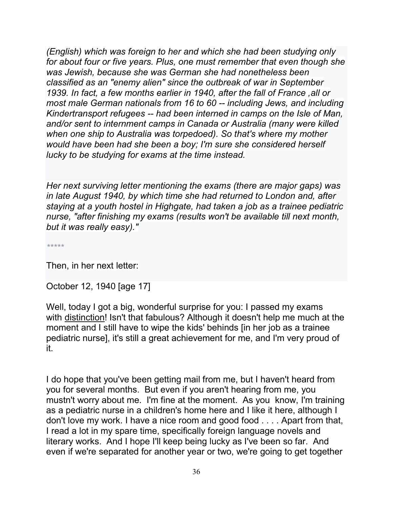(English) which was foreign to her and which she had been studying only for about four or five years. Plus, one must remember that even though she was Jewish, because she was German she had nonetheless been classified as an "enemy alien" since the outbreak of war in September 1939. In fact, a few months earlier in 1940, after the fall of France ,all or most male German nationals from 16 to 60 -- including Jews, and including Kindertransport refugees -- had been interned in camps on the Isle of Man, and/or sent to internment camps in Canada or Australia (many were killed when one ship to Australia was torpedoed). So that's where my mother would have been had she been a boy; I'm sure she considered herself lucky to be studying for exams at the time instead.

Her next surviving letter mentioning the exams (there are major gaps) was in late August 1940, by which time she had returned to London and, after staying at a youth hostel in Highgate, had taken a job as a trainee pediatric nurse, "after finishing my exams (results won't be available till next month, but it was really easy)."

\*\*\*\*\*

Then, in her next letter:

October 12, 1940 [age 17]

Well, today I got a big, wonderful surprise for you: I passed my exams with distinction! Isn't that fabulous? Although it doesn't help me much at the moment and I still have to wipe the kids' behinds [in her job as a trainee pediatric nurse], it's still a great achievement for me, and I'm very proud of it.

I do hope that you've been getting mail from me, but I haven't heard from you for several months. But even if you aren't hearing from me, you mustn't worry about me. I'm fine at the moment. As you know, I'm training as a pediatric nurse in a children's home here and I like it here, although I don't love my work. I have a nice room and good food . . . . Apart from that, I read a lot in my spare time, specifically foreign language novels and literary works. And I hope I'll keep being lucky as I've been so far. And even if we're separated for another year or two, we're going to get together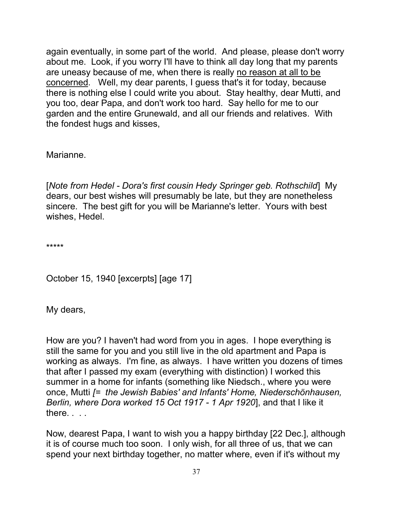again eventually, in some part of the world. And please, please don't worry about me. Look, if you worry I'll have to think all day long that my parents are uneasy because of me, when there is really no reason at all to be concerned. Well, my dear parents, I guess that's it for today, because there is nothing else I could write you about. Stay healthy, dear Mutti, and you too, dear Papa, and don't work too hard. Say hello for me to our garden and the entire Grunewald, and all our friends and relatives. With the fondest hugs and kisses,

Marianne.

[Note from Hedel - Dora's first cousin Hedy Springer geb. Rothschild] My dears, our best wishes will presumably be late, but they are nonetheless sincere. The best gift for you will be Marianne's letter. Yours with best wishes, Hedel.

\*\*\*\*\*

October 15, 1940 [excerpts] [age 17]

My dears,

How are you? I haven't had word from you in ages. I hope everything is still the same for you and you still live in the old apartment and Papa is working as always. I'm fine, as always. I have written you dozens of times that after I passed my exam (everything with distinction) I worked this summer in a home for infants (something like Niedsch., where you were once, Mutti [= the Jewish Babies' and Infants' Home, Niederschönhausen, Berlin, where Dora worked 15 Oct 1917 - 1 Apr 1920], and that I like it there. . . .

Now, dearest Papa, I want to wish you a happy birthday [22 Dec.], although it is of course much too soon. I only wish, for all three of us, that we can spend your next birthday together, no matter where, even if it's without my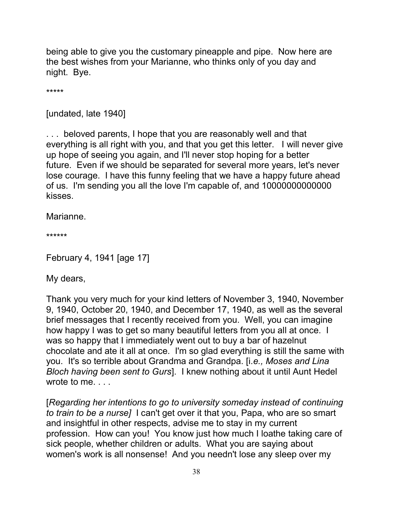being able to give you the customary pineapple and pipe. Now here are the best wishes from your Marianne, who thinks only of you day and night. Bye.

\*\*\*\*\*

[undated, late 1940]

. . . beloved parents, I hope that you are reasonably well and that everything is all right with you, and that you get this letter. I will never give up hope of seeing you again, and I'll never stop hoping for a better future. Even if we should be separated for several more years, let's never lose courage. I have this funny feeling that we have a happy future ahead of us. I'm sending you all the love I'm capable of, and 10000000000000 kisses.

Marianne.

\*\*\*\*\*\*

February 4, 1941 [age 17]

My dears,

Thank you very much for your kind letters of November 3, 1940, November 9, 1940, October 20, 1940, and December 17, 1940, as well as the several brief messages that I recently received from you. Well, you can imagine how happy I was to get so many beautiful letters from you all at once. I was so happy that I immediately went out to buy a bar of hazelnut chocolate and ate it all at once. I'm so glad everything is still the same with you. It's so terrible about Grandma and Grandpa. [i.e., Moses and Lina Bloch having been sent to Gurs]. I knew nothing about it until Aunt Hedel wrote to me.

[Regarding her intentions to go to university someday instead of continuing to train to be a nurse] I can't get over it that you, Papa, who are so smart and insightful in other respects, advise me to stay in my current profession. How can you! You know just how much I loathe taking care of sick people, whether children or adults. What you are saying about women's work is all nonsense! And you needn't lose any sleep over my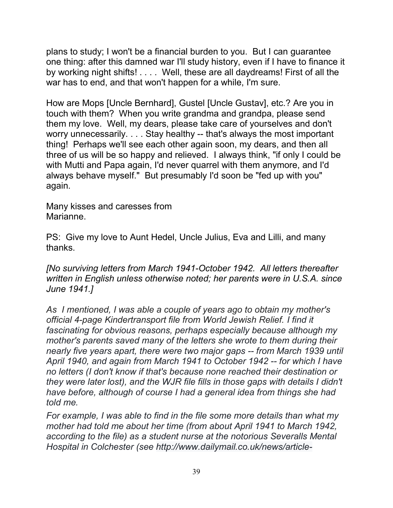plans to study; I won't be a financial burden to you. But I can guarantee one thing: after this damned war I'll study history, even if I have to finance it by working night shifts! . . . . Well, these are all daydreams! First of all the war has to end, and that won't happen for a while, I'm sure.

How are Mops [Uncle Bernhard], Gustel [Uncle Gustav], etc.? Are you in touch with them? When you write grandma and grandpa, please send them my love. Well, my dears, please take care of yourselves and don't worry unnecessarily. . . . Stay healthy -- that's always the most important thing! Perhaps we'll see each other again soon, my dears, and then all three of us will be so happy and relieved. I always think, "if only I could be with Mutti and Papa again, I'd never quarrel with them anymore, and I'd always behave myself." But presumably I'd soon be "fed up with you" again.

Many kisses and caresses from Marianne.

PS: Give my love to Aunt Hedel, Uncle Julius, Eva and Lilli, and many thanks.

[No surviving letters from March 1941-October 1942. All letters thereafter written in English unless otherwise noted; her parents were in U.S.A. since June 1941.]

As I mentioned, I was able a couple of years ago to obtain my mother's official 4-page Kindertransport file from World Jewish Relief. I find it fascinating for obvious reasons, perhaps especially because although my mother's parents saved many of the letters she wrote to them during their nearly five years apart, there were two major gaps -- from March 1939 until April 1940, and again from March 1941 to October 1942 -- for which I have no letters (I don't know if that's because none reached their destination or they were later lost), and the WJR file fills in those gaps with details I didn't have before, although of course I had a general idea from things she had told me.

For example, I was able to find in the file some more details than what my mother had told me about her time (from about April 1941 to March 1942, according to the file) as a student nurse at the notorious Severalls Mental Hospital in Colchester (see http://www.dailymail.co.uk/news/article-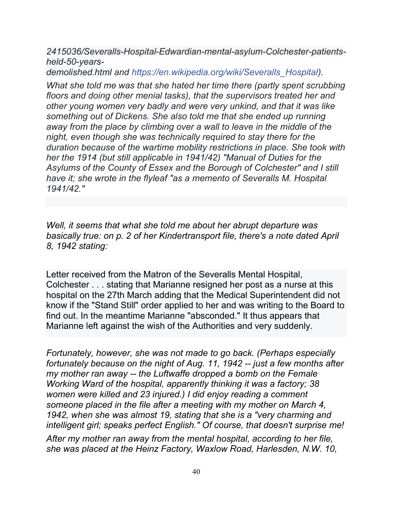2415036/Severalls-Hospital-Edwardian-mental-asylum-Colchester-patientsheld-50-years-

demolished.html and https://en.wikipedia.org/wiki/Severalls\_Hospital).

What she told me was that she hated her time there (partly spent scrubbing floors and doing other menial tasks), that the supervisors treated her and other young women very badly and were very unkind, and that it was like something out of Dickens. She also told me that she ended up running away from the place by climbing over a wall to leave in the middle of the night, even though she was technically required to stay there for the duration because of the wartime mobility restrictions in place. She took with her the 1914 (but still applicable in 1941/42) "Manual of Duties for the Asylums of the County of Essex and the Borough of Colchester" and I still have it; she wrote in the flyleaf "as a memento of Severalls M. Hospital 1941/42."

Well, it seems that what she told me about her abrupt departure was basically true: on p. 2 of her Kindertransport file, there's a note dated April 8, 1942 stating:

Letter received from the Matron of the Severalls Mental Hospital, Colchester . . . stating that Marianne resigned her post as a nurse at this hospital on the 27th March adding that the Medical Superintendent did not know if the "Stand Still" order applied to her and was writing to the Board to find out. In the meantime Marianne "absconded." It thus appears that Marianne left against the wish of the Authorities and very suddenly.

Fortunately, however, she was not made to go back. (Perhaps especially fortunately because on the night of Aug. 11, 1942 -- just a few months after my mother ran away -- the Luftwaffe dropped a bomb on the Female Working Ward of the hospital, apparently thinking it was a factory; 38 women were killed and 23 injured.) I did enjoy reading a comment someone placed in the file after a meeting with my mother on March 4, 1942, when she was almost 19, stating that she is a "very charming and intelligent girl; speaks perfect English." Of course, that doesn't surprise me! After my mother ran away from the mental hospital, according to her file, she was placed at the Heinz Factory, Waxlow Road, Harlesden, N.W. 10,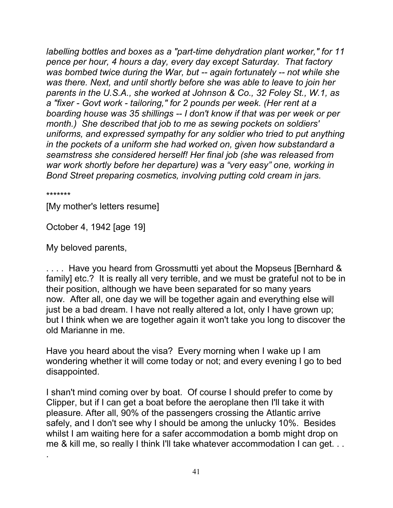labelling bottles and boxes as a "part-time dehydration plant worker," for 11 pence per hour, 4 hours a day, every day except Saturday. That factory was bombed twice during the War, but -- again fortunately -- not while she was there. Next, and until shortly before she was able to leave to join her parents in the U.S.A., she worked at Johnson & Co., 32 Foley St., W.1, as a "fixer - Govt work - tailoring," for 2 pounds per week. (Her rent at a boarding house was 35 shillings -- I don't know if that was per week or per month.) She described that job to me as sewing pockets on soldiers' uniforms, and expressed sympathy for any soldier who tried to put anything in the pockets of a uniform she had worked on, given how substandard a seamstress she considered herself! Her final job (she was released from war work shortly before her departure) was a "very easy" one, working in Bond Street preparing cosmetics, involving putting cold cream in jars.

\*\*\*\*\*\*\*

.

[My mother's letters resume]

October 4, 1942 [age 19]

My beloved parents,

. . . . Have you heard from Grossmutti yet about the Mopseus [Bernhard & family] etc.? It is really all very terrible, and we must be grateful not to be in their position, although we have been separated for so many years now. After all, one day we will be together again and everything else will just be a bad dream. I have not really altered a lot, only I have grown up; but I think when we are together again it won't take you long to discover the old Marianne in me.

Have you heard about the visa? Every morning when I wake up I am wondering whether it will come today or not; and every evening I go to bed disappointed.

I shan't mind coming over by boat. Of course I should prefer to come by Clipper, but if I can get a boat before the aeroplane then I'll take it with pleasure. After all, 90% of the passengers crossing the Atlantic arrive safely, and I don't see why I should be among the unlucky 10%. Besides whilst I am waiting here for a safer accommodation a bomb might drop on me & kill me, so really I think I'll take whatever accommodation I can get. . .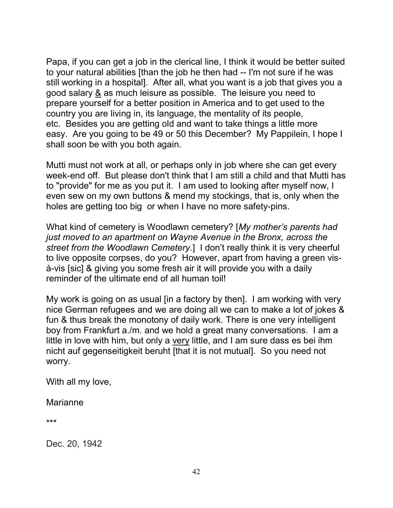Papa, if you can get a job in the clerical line, I think it would be better suited to your natural abilities [than the job he then had -- I'm not sure if he was still working in a hospital]. After all, what you want is a job that gives you a good salary & as much leisure as possible. The leisure you need to prepare yourself for a better position in America and to get used to the country you are living in, its language, the mentality of its people, etc. Besides you are getting old and want to take things a little more easy. Are you going to be 49 or 50 this December? My Pappilein, I hope I shall soon be with you both again.

Mutti must not work at all, or perhaps only in job where she can get every week-end off. But please don't think that I am still a child and that Mutti has to "provide" for me as you put it. I am used to looking after myself now, I even sew on my own buttons & mend my stockings, that is, only when the holes are getting too big or when I have no more safety-pins.

What kind of cemetery is Woodlawn cemetery? [My mother's parents had just moved to an apartment on Wayne Avenue in the Bronx, across the street from the Woodlawn Cemetery.] I don't really think it is very cheerful to live opposite corpses, do you? However, apart from having a green visà-vis [sic] & giving you some fresh air it will provide you with a daily reminder of the ultimate end of all human toil!

My work is going on as usual [in a factory by then]. I am working with very nice German refugees and we are doing all we can to make a lot of jokes & fun & thus break the monotony of daily work. There is one very intelligent boy from Frankfurt a./m. and we hold a great many conversations. I am a little in love with him, but only a very little, and I am sure dass es bei ihm nicht auf gegenseitigkeit beruht [that it is not mutual]. So you need not worry.

With all my love,

### Marianne

\*\*\*

Dec. 20, 1942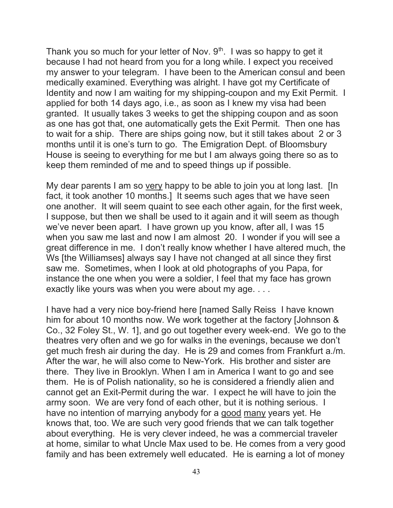Thank you so much for your letter of Nov.  $9<sup>th</sup>$ . I was so happy to get it because I had not heard from you for a long while. I expect you received my answer to your telegram. I have been to the American consul and been medically examined. Everything was alright. I have got my Certificate of Identity and now I am waiting for my shipping-coupon and my Exit Permit. I applied for both 14 days ago, i.e., as soon as I knew my visa had been granted. It usually takes 3 weeks to get the shipping coupon and as soon as one has got that, one automatically gets the Exit Permit. Then one has to wait for a ship. There are ships going now, but it still takes about 2 or 3 months until it is one's turn to go. The Emigration Dept. of Bloomsbury House is seeing to everything for me but I am always going there so as to keep them reminded of me and to speed things up if possible.

My dear parents I am so very happy to be able to join you at long last. [In fact, it took another 10 months.] It seems such ages that we have seen one another. It will seem quaint to see each other again, for the first week, I suppose, but then we shall be used to it again and it will seem as though we've never been apart. I have grown up you know, after all, I was 15 when you saw me last and now I am almost 20. I wonder if you will see a great difference in me. I don't really know whether I have altered much, the Ws [the Williamses] always say I have not changed at all since they first saw me. Sometimes, when I look at old photographs of you Papa, for instance the one when you were a soldier, I feel that my face has grown exactly like yours was when you were about my age. . . .

I have had a very nice boy-friend here [named Sally Reiss I have known him for about 10 months now. We work together at the factory [Johnson & Co., 32 Foley St., W. 1], and go out together every week-end. We go to the theatres very often and we go for walks in the evenings, because we don't get much fresh air during the day. He is 29 and comes from Frankfurt a./m. After the war, he will also come to New-York. His brother and sister are there. They live in Brooklyn. When I am in America I want to go and see them. He is of Polish nationality, so he is considered a friendly alien and cannot get an Exit-Permit during the war. I expect he will have to join the army soon. We are very fond of each other, but it is nothing serious. I have no intention of marrying anybody for a good many years yet. He knows that, too. We are such very good friends that we can talk together about everything. He is very clever indeed, he was a commercial traveler at home, similar to what Uncle Max used to be. He comes from a very good family and has been extremely well educated. He is earning a lot of money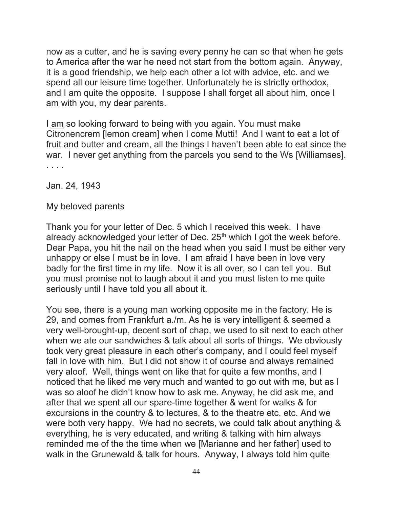now as a cutter, and he is saving every penny he can so that when he gets to America after the war he need not start from the bottom again. Anyway, it is a good friendship, we help each other a lot with advice, etc. and we spend all our leisure time together. Unfortunately he is strictly orthodox, and I am quite the opposite. I suppose I shall forget all about him, once I am with you, my dear parents.

I am so looking forward to being with you again. You must make Citronencrem [lemon cream] when I come Mutti! And I want to eat a lot of fruit and butter and cream, all the things I haven't been able to eat since the war. I never get anything from the parcels you send to the Ws [Williamses]. . . . .

Jan. 24, 1943

My beloved parents

Thank you for your letter of Dec. 5 which I received this week. I have already acknowledged your letter of Dec.  $25<sup>th</sup>$  which I got the week before. Dear Papa, you hit the nail on the head when you said I must be either very unhappy or else I must be in love. I am afraid I have been in love very badly for the first time in my life. Now it is all over, so I can tell you. But you must promise not to laugh about it and you must listen to me quite seriously until I have told you all about it.

You see, there is a young man working opposite me in the factory. He is 29, and comes from Frankfurt a./m. As he is very intelligent & seemed a very well-brought-up, decent sort of chap, we used to sit next to each other when we ate our sandwiches & talk about all sorts of things. We obviously took very great pleasure in each other's company, and I could feel myself fall in love with him. But I did not show it of course and always remained very aloof. Well, things went on like that for quite a few months, and I noticed that he liked me very much and wanted to go out with me, but as I was so aloof he didn't know how to ask me. Anyway, he did ask me, and after that we spent all our spare-time together & went for walks & for excursions in the country & to lectures, & to the theatre etc. etc. And we were both very happy. We had no secrets, we could talk about anything & everything, he is very educated, and writing & talking with him always reminded me of the the time when we [Marianne and her father] used to walk in the Grunewald & talk for hours. Anyway, I always told him quite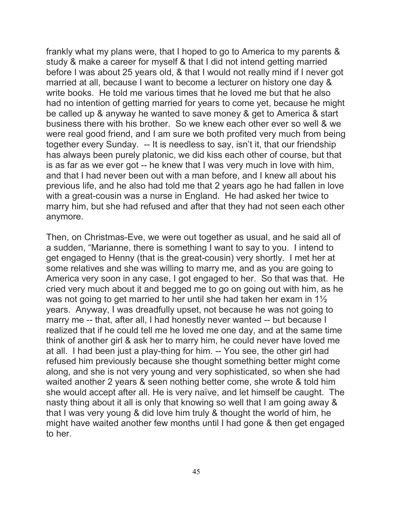frankly what my plans were, that I hoped to go to America to my parents & study & make a career for myself & that I did not intend getting married before I was about 25 years old, & that I would not really mind if I never got married at all, because I want to become a lecturer on history one day & write books. He told me various times that he loved me but that he also had no intention of getting married for years to come yet, because he might be called up & anyway he wanted to save money & get to America & start business there with his brother. So we knew each other ever so well & we were real good friend, and I am sure we both profited very much from being together every Sunday. -- It is needless to say, isn't it, that our friendship has always been purely platonic, we did kiss each other of course, but that is as far as we ever got -- he knew that I was very much in love with him, and that I had never been out with a man before, and I knew all about his previous life, and he also had told me that 2 years ago he had fallen in love with a great-cousin was a nurse in England. He had asked her twice to marry him, but she had refused and after that they had not seen each other anymore.

Then, on Christmas-Eve, we were out together as usual, and he said all of a sudden, "Marianne, there is something I want to say to you. I intend to get engaged to Henny (that is the great-cousin) very shortly. I met her at some relatives and she was willing to marry me, and as you are going to America very soon in any case, I got engaged to her. So that was that. He cried very much about it and begged me to go on going out with him, as he was not going to get married to her until she had taken her exam in 1<sup>1/2</sup> years. Anyway, I was dreadfully upset, not because he was not going to marry me -- that, after all, I had honestly never wanted -- but because I realized that if he could tell me he loved me one day, and at the same time think of another girl & ask her to marry him, he could never have loved me at all. I had been just a play-thing for him. -- You see, the other girl had refused him previously because she thought something better might come along, and she is not very young and very sophisticated, so when she had waited another 2 years & seen nothing better come, she wrote & told him she would accept after all. He is very naïve, and let himself be caught. The nasty thing about it all is only that knowing so well that I am going away & that I was very young & did love him truly & thought the world of him, he might have waited another few months until I had gone & then get engaged to her.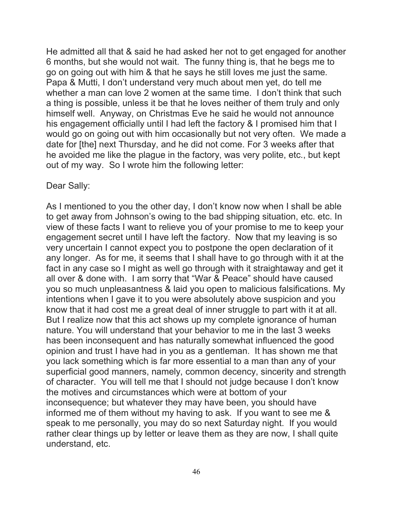He admitted all that & said he had asked her not to get engaged for another 6 months, but she would not wait. The funny thing is, that he begs me to go on going out with him & that he says he still loves me just the same. Papa & Mutti, I don't understand very much about men yet, do tell me whether a man can love 2 women at the same time. I don't think that such a thing is possible, unless it be that he loves neither of them truly and only himself well. Anyway, on Christmas Eve he said he would not announce his engagement officially until I had left the factory & I promised him that I would go on going out with him occasionally but not very often. We made a date for [the] next Thursday, and he did not come. For 3 weeks after that he avoided me like the plague in the factory, was very polite, etc., but kept out of my way. So I wrote him the following letter:

### Dear Sally:

As I mentioned to you the other day, I don't know now when I shall be able to get away from Johnson's owing to the bad shipping situation, etc. etc. In view of these facts I want to relieve you of your promise to me to keep your engagement secret until I have left the factory. Now that my leaving is so very uncertain I cannot expect you to postpone the open declaration of it any longer. As for me, it seems that I shall have to go through with it at the fact in any case so I might as well go through with it straightaway and get it all over & done with. I am sorry that "War & Peace" should have caused you so much unpleasantness & laid you open to malicious falsifications. My intentions when I gave it to you were absolutely above suspicion and you know that it had cost me a great deal of inner struggle to part with it at all. But I realize now that this act shows up my complete ignorance of human nature. You will understand that your behavior to me in the last 3 weeks has been inconsequent and has naturally somewhat influenced the good opinion and trust I have had in you as a gentleman. It has shown me that you lack something which is far more essential to a man than any of your superficial good manners, namely, common decency, sincerity and strength of character. You will tell me that I should not judge because I don't know the motives and circumstances which were at bottom of your inconsequence; but whatever they may have been, you should have informed me of them without my having to ask. If you want to see me & speak to me personally, you may do so next Saturday night. If you would rather clear things up by letter or leave them as they are now, I shall quite understand, etc.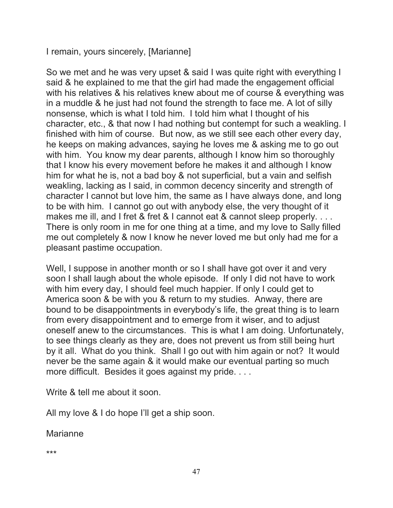I remain, yours sincerely, [Marianne]

So we met and he was very upset & said I was quite right with everything I said & he explained to me that the girl had made the engagement official with his relatives & his relatives knew about me of course & everything was in a muddle & he just had not found the strength to face me. A lot of silly nonsense, which is what I told him. I told him what I thought of his character, etc., & that now I had nothing but contempt for such a weakling. I finished with him of course. But now, as we still see each other every day, he keeps on making advances, saying he loves me & asking me to go out with him. You know my dear parents, although I know him so thoroughly that I know his every movement before he makes it and although I know him for what he is, not a bad boy & not superficial, but a vain and selfish weakling, lacking as I said, in common decency sincerity and strength of character I cannot but love him, the same as I have always done, and long to be with him. I cannot go out with anybody else, the very thought of it makes me ill, and I fret & fret & I cannot eat & cannot sleep properly. . . . There is only room in me for one thing at a time, and my love to Sally filled me out completely & now I know he never loved me but only had me for a pleasant pastime occupation.

Well, I suppose in another month or so I shall have got over it and very soon I shall laugh about the whole episode. If only I did not have to work with him every day, I should feel much happier. If only I could get to America soon & be with you & return to my studies. Anway, there are bound to be disappointments in everybody's life, the great thing is to learn from every disappointment and to emerge from it wiser, and to adjust oneself anew to the circumstances. This is what I am doing. Unfortunately, to see things clearly as they are, does not prevent us from still being hurt by it all. What do you think. Shall I go out with him again or not? It would never be the same again & it would make our eventual parting so much more difficult. Besides it goes against my pride. . . .

Write & tell me about it soon.

All my love & I do hope I'll get a ship soon.

Marianne

\*\*\*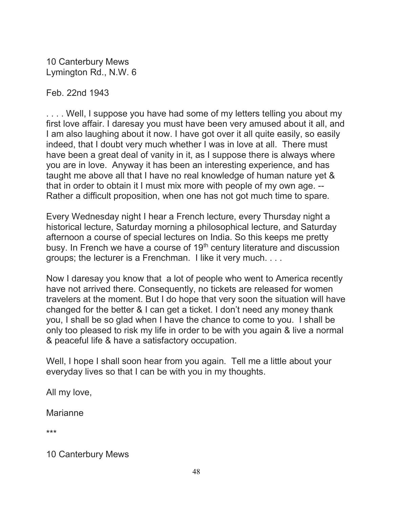10 Canterbury Mews Lymington Rd., N.W. 6

Feb. 22nd 1943

.... Well, I suppose you have had some of my letters telling you about my first love affair. I daresay you must have been very amused about it all, and I am also laughing about it now. I have got over it all quite easily, so easily indeed, that I doubt very much whether I was in love at all. There must have been a great deal of vanity in it, as I suppose there is always where you are in love. Anyway it has been an interesting experience, and has taught me above all that I have no real knowledge of human nature yet & that in order to obtain it I must mix more with people of my own age. -- Rather a difficult proposition, when one has not got much time to spare.

Every Wednesday night I hear a French lecture, every Thursday night a historical lecture, Saturday morning a philosophical lecture, and Saturday afternoon a course of special lectures on India. So this keeps me pretty busy. In French we have a course of 19<sup>th</sup> century literature and discussion groups; the lecturer is a Frenchman. I like it very much. . . .

Now I daresay you know that a lot of people who went to America recently have not arrived there. Consequently, no tickets are released for women travelers at the moment. But I do hope that very soon the situation will have changed for the better & I can get a ticket. I don't need any money thank you, I shall be so glad when I have the chance to come to you. I shall be only too pleased to risk my life in order to be with you again & live a normal & peaceful life & have a satisfactory occupation.

Well, I hope I shall soon hear from you again. Tell me a little about your everyday lives so that I can be with you in my thoughts.

All my love,

**Marianne** 

\*\*\*

10 Canterbury Mews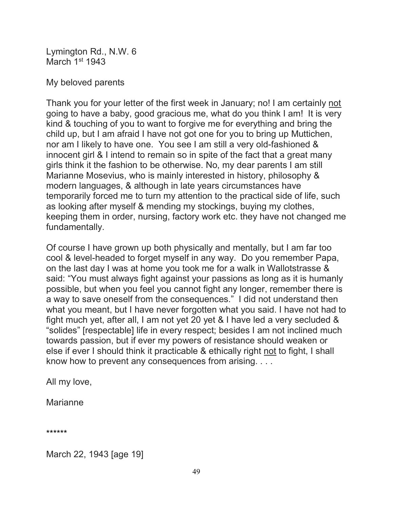Lymington Rd., N.W. 6  $M$ arch  $1<sup>st</sup>$  1943

## My beloved parents

Thank you for your letter of the first week in January; no! I am certainly not going to have a baby, good gracious me, what do you think I am! It is very kind & touching of you to want to forgive me for everything and bring the child up, but I am afraid I have not got one for you to bring up Muttichen, nor am I likely to have one. You see I am still a very old-fashioned & innocent girl & I intend to remain so in spite of the fact that a great many girls think it the fashion to be otherwise. No, my dear parents I am still Marianne Mosevius, who is mainly interested in history, philosophy & modern languages, & although in late years circumstances have temporarily forced me to turn my attention to the practical side of life, such as looking after myself & mending my stockings, buying my clothes, keeping them in order, nursing, factory work etc. they have not changed me fundamentally.

Of course I have grown up both physically and mentally, but I am far too cool & level-headed to forget myself in any way. Do you remember Papa, on the last day I was at home you took me for a walk in Wallotstrasse & said: "You must always fight against your passions as long as it is humanly possible, but when you feel you cannot fight any longer, remember there is a way to save oneself from the consequences." I did not understand then what you meant, but I have never forgotten what you said. I have not had to fight much yet, after all, I am not yet 20 yet & I have led a very secluded & "solides" [respectable] life in every respect; besides I am not inclined much towards passion, but if ever my powers of resistance should weaken or else if ever I should think it practicable & ethically right not to fight, I shall know how to prevent any consequences from arising. . . .

All my love,

Marianne

\*\*\*\*\*\*

March 22, 1943 [age 19]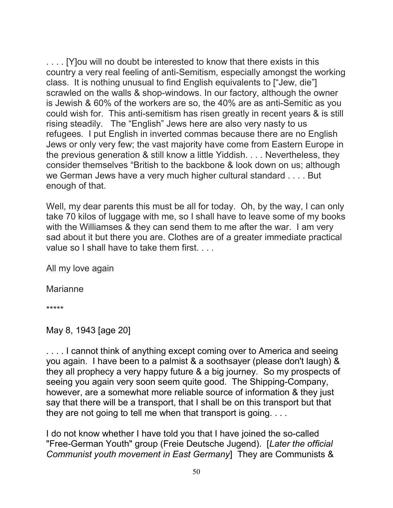. . . . [Y]ou will no doubt be interested to know that there exists in this country a very real feeling of anti-Semitism, especially amongst the working class. It is nothing unusual to find English equivalents to ["Jew, die"] scrawled on the walls & shop-windows. In our factory, although the owner is Jewish & 60% of the workers are so, the 40% are as anti-Semitic as you could wish for. This anti-semitism has risen greatly in recent years & is still rising steadily. The "English" Jews here are also very nasty to us refugees. I put English in inverted commas because there are no English Jews or only very few; the vast majority have come from Eastern Europe in the previous generation & still know a little Yiddish. . . . Nevertheless, they consider themselves "British to the backbone & look down on us; although we German Jews have a very much higher cultural standard . . . . But enough of that.

Well, my dear parents this must be all for today. Oh, by the way, I can only take 70 kilos of luggage with me, so I shall have to leave some of my books with the Williamses & they can send them to me after the war. I am very sad about it but there you are. Clothes are of a greater immediate practical value so I shall have to take them first.

All my love again

**Marianne** 

\*\*\*\*\*

May 8, 1943 [age 20]

....I cannot think of anything except coming over to America and seeing you again. I have been to a palmist & a soothsayer (please don't laugh) & they all prophecy a very happy future & a big journey. So my prospects of seeing you again very soon seem quite good. The Shipping-Company, however, are a somewhat more reliable source of information & they just say that there will be a transport, that I shall be on this transport but that they are not going to tell me when that transport is going. . . .

I do not know whether I have told you that I have joined the so-called "Free-German Youth" group (Freie Deutsche Jugend). [Later the official Communist youth movement in East Germany] They are Communists &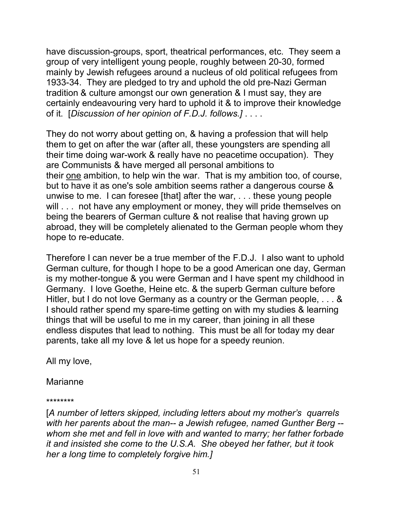have discussion-groups, sport, theatrical performances, etc. They seem a group of very intelligent young people, roughly between 20-30, formed mainly by Jewish refugees around a nucleus of old political refugees from 1933-34. They are pledged to try and uphold the old pre-Nazi German tradition & culture amongst our own generation & I must say, they are certainly endeavouring very hard to uphold it & to improve their knowledge of it. [Discussion of her opinion of F.D.J. follows.] . . . .

They do not worry about getting on, & having a profession that will help them to get on after the war (after all, these youngsters are spending all their time doing war-work & really have no peacetime occupation). They are Communists & have merged all personal ambitions to their one ambition, to help win the war. That is my ambition too, of course, but to have it as one's sole ambition seems rather a dangerous course & unwise to me. I can foresee [that] after the war, . . . these young people will . . . not have any employment or money, they will pride themselves on being the bearers of German culture & not realise that having grown up abroad, they will be completely alienated to the German people whom they hope to re-educate.

Therefore I can never be a true member of the F.D.J. I also want to uphold German culture, for though I hope to be a good American one day, German is my mother-tongue & you were German and I have spent my childhood in Germany. I love Goethe, Heine etc. & the superb German culture before Hitler, but I do not love Germany as a country or the German people, . . . & I should rather spend my spare-time getting on with my studies & learning things that will be useful to me in my career, than joining in all these endless disputes that lead to nothing. This must be all for today my dear parents, take all my love & let us hope for a speedy reunion.

All my love,

Marianne

\*\*\*\*\*\*\*\*

[A number of letters skipped, including letters about my mother's quarrels with her parents about the man-- a Jewish refugee, named Gunther Berg -whom she met and fell in love with and wanted to marry; her father forbade it and insisted she come to the U.S.A. She obeyed her father, but it took her a long time to completely forgive him.]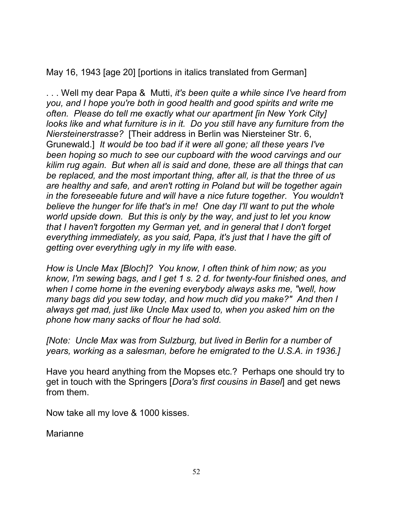May 16, 1943 [age 20] [portions in italics translated from German]

... Well my dear Papa & Mutti, it's been quite a while since I've heard from you, and I hope you're both in good health and good spirits and write me often. Please do tell me exactly what our apartment [in New York City] looks like and what furniture is in it. Do you still have any furniture from the Niersteinerstrasse? [Their address in Berlin was Niersteiner Str. 6, Grunewald.] It would be too bad if it were all gone; all these years I've been hoping so much to see our cupboard with the wood carvings and our kilim rug again. But when all is said and done, these are all things that can be replaced, and the most important thing, after all, is that the three of us are healthy and safe, and aren't rotting in Poland but will be together again in the foreseeable future and will have a nice future together. You wouldn't believe the hunger for life that's in me! One day I'll want to put the whole world upside down. But this is only by the way, and just to let you know that I haven't forgotten my German yet, and in general that I don't forget everything immediately, as you said, Papa, it's just that I have the gift of getting over everything ugly in my life with ease.

How is Uncle Max [Bloch]? You know, I often think of him now; as you know, I'm sewing bags, and I get 1 s. 2 d. for twenty-four finished ones, and when I come home in the evening everybody always asks me, "well, how many bags did you sew today, and how much did you make?" And then I always get mad, just like Uncle Max used to, when you asked him on the phone how many sacks of flour he had sold.

[Note: Uncle Max was from Sulzburg, but lived in Berlin for a number of years, working as a salesman, before he emigrated to the U.S.A. in 1936.]

Have you heard anything from the Mopses etc.? Perhaps one should try to get in touch with the Springers [*Dora's first cousins in Basel*] and get news from them.

Now take all my love & 1000 kisses.

Marianne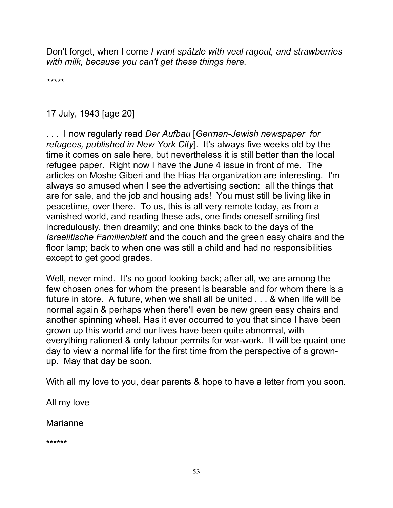Don't forget, when I come I want spätzle with veal ragout, and strawberries with milk, because you can't get these things here.

\*\*\*\*\*

# 17 July, 1943 [age 20]

... I now regularly read Der Aufbau [German-Jewish newspaper for refugees, published in New York City]. It's always five weeks old by the time it comes on sale here, but nevertheless it is still better than the local refugee paper. Right now I have the June 4 issue in front of me. The articles on Moshe Giberi and the Hias Ha organization are interesting. I'm always so amused when I see the advertising section: all the things that are for sale, and the job and housing ads! You must still be living like in peacetime, over there. To us, this is all very remote today, as from a vanished world, and reading these ads, one finds oneself smiling first incredulously, then dreamily; and one thinks back to the days of the Israelitische Familienblatt and the couch and the green easy chairs and the floor lamp; back to when one was still a child and had no responsibilities except to get good grades.

Well, never mind. It's no good looking back; after all, we are among the few chosen ones for whom the present is bearable and for whom there is a future in store. A future, when we shall all be united . . . & when life will be normal again & perhaps when there'll even be new green easy chairs and another spinning wheel. Has it ever occurred to you that since I have been grown up this world and our lives have been quite abnormal, with everything rationed & only labour permits for war-work. It will be quaint one day to view a normal life for the first time from the perspective of a grownup. May that day be soon.

With all my love to you, dear parents & hope to have a letter from you soon.

All my love

Marianne

\*\*\*\*\*\*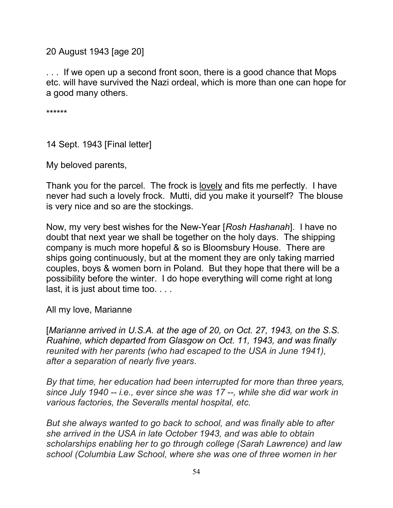20 August 1943 [age 20]

... If we open up a second front soon, there is a good chance that Mops etc. will have survived the Nazi ordeal, which is more than one can hope for a good many others.

\*\*\*\*\*\*

14 Sept. 1943 [Final letter]

My beloved parents,

Thank you for the parcel. The frock is lovely and fits me perfectly. I have never had such a lovely frock. Mutti, did you make it yourself? The blouse is very nice and so are the stockings.

Now, my very best wishes for the New-Year [Rosh Hashanah]. I have no doubt that next year we shall be together on the holy days. The shipping company is much more hopeful & so is Bloomsbury House. There are ships going continuously, but at the moment they are only taking married couples, boys & women born in Poland. But they hope that there will be a possibility before the winter. I do hope everything will come right at long last, it is just about time too. . . .

All my love, Marianne

[Marianne arrived in U.S.A. at the age of 20, on Oct. 27, 1943, on the S.S. Ruahine, which departed from Glasgow on Oct. 11, 1943, and was finally reunited with her parents (who had escaped to the USA in June 1941), after a separation of nearly five years.

By that time, her education had been interrupted for more than three years, since July 1940 -- i.e., ever since she was 17 --, while she did war work in various factories, the Severalls mental hospital, etc.

But she always wanted to go back to school, and was finally able to after she arrived in the USA in late October 1943, and was able to obtain scholarships enabling her to go through college (Sarah Lawrence) and law school (Columbia Law School, where she was one of three women in her